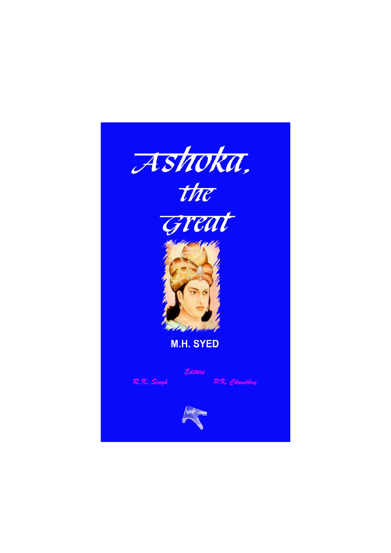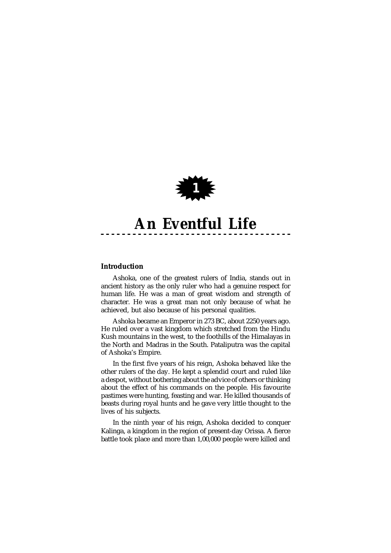

# **Introduction**

Ashoka, one of the greatest rulers of India, stands out in ancient history as the only ruler who had a genuine respect for human life. He was a man of great wisdom and strength of character. He was a great man not only because of what he achieved, but also because of his personal qualities.

Ashoka became an Emperor in 273 BC, about 2250 years ago. He ruled over a vast kingdom which stretched from the Hindu Kush mountains in the west, to the foothills of the Himalayas in the North and Madras in the South. Pataliputra was the capital of Ashoka's Empire.

In the first five years of his reign, Ashoka behaved like the other rulers of the day. He kept a splendid court and ruled like a despot, without bothering about the advice of others or thinking about the effect of his commands on the people. His favourite pastimes were hunting, feasting and war. He killed thousands of beasts during royal hunts and he gave very little thought to the lives of his subjects.

In the ninth year of his reign, Ashoka decided to conquer Kalinga, a kingdom in the region of present-day Orissa. A fierce battle took place and more than 1,00,000 people were killed and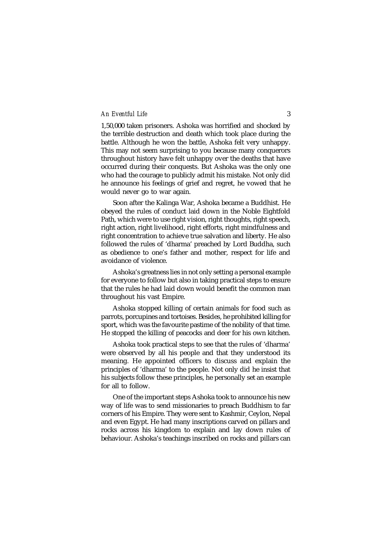1,50,000 taken prisoners. Ashoka was horrified and shocked by the terrible destruction and death which took place during the battle. Although he won the battle, Ashoka felt very unhappy. This may not seem surprising to you because many conquerors throughout history have felt unhappy over the deaths that have occurred during their conquests. But Ashoka was the only one who had the courage to publicly admit his mistake. Not only did he announce his feelings of grief and regret, he vowed that he would never go to war again.

Soon after the Kalinga War, Ashoka became a Buddhist. He obeyed the rules of conduct laid down in the Noble Eightfold Path, which were to use right vision, right thoughts, right speech, right action, right livelihood, right efforts, right mindfulness and right concentration to achieve true salvation and liberty. He also followed the rules of 'dharma' preached by Lord Buddha, such as obedience to one's father and mother, respect for life and avoidance of violence.

Ashoka's greatness lies in not only setting a personal example for everyone to follow but also in taking practical steps to ensure that the rules he had laid down would benefit the common man throughout his vast Empire.

Ashoka stopped killing of certain animals for food such as parrots, porcupines and tortoises. Besides, he prohibited killing for sport, which was the favourite pastime of the nobility of that time. He stopped the killing of peacocks and deer for his own kitchen.

Ashoka took practical steps to see that the rules of 'dharma' were observed by all his people and that they understood its meaning. He appointed officers to discuss and explain the principles of 'dharma' to the people. Not only did he insist that his subjects follow these principles, he personally set an example for all to follow.

One of the important steps Ashoka took to announce his new way of life was to send missionaries to preach Buddhism to far corners of his Empire. They were sent to Kashmir, Ceylon, Nepal and even Egypt. He had many inscriptions carved on pillars and rocks across his kingdom to explain and lay down rules of behaviour. Ashoka's teachings inscribed on rocks and pillars can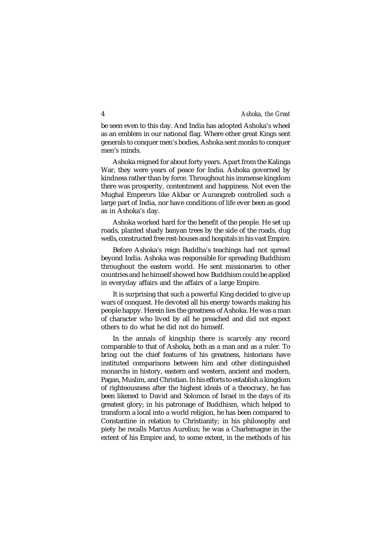be seen even to this day. And India has adopted Ashoka's wheel as an emblem in our national flag. Where other great Kings sent generals to conquer men's bodies, Ashoka sent monks to conquer men's minds.

Ashoka reigned for about forty years. Apart from the Kalinga War, they were years of peace for India. Ashoka governed by kindness rather than by force. Throughout his immense kingdom there was prosperity, contentment and happiness. Not even the Mughal Emperors like Akbar or Aurangzeb controlled such a large part of India, nor have conditions of life ever been as good as in Ashoka's day.

Ashoka worked hard for the benefit of the people. He set up roads, planted shady banyan trees by the side of the roads, dug wells, constructed free rest-houses and hospitals in his vast Empire.

Before Ashoka's reign Buddha's teachings had not spread beyond India. Ashoka was responsible for spreading Buddhism throughout the eastern world. He sent missionaries to other countries and he himself showed how Buddhism could be applied in everyday affairs and the affairs of a large Empire.

It is surprising that such a powerful King decided to give up wars of conquest. He devoted all his energy towards making his people happy. Herein lies the greatness of Ashoka. He was a man of character who lived by all he preached and did not expect others to do what he did not do himself.

In the annals of kingship there is scarcely any record comparable to that of Ashoka, both as a man and as a ruler. To bring out the chief features of his greatness, historians have instituted comparisons between him and other distinguished monarchs in history, eastern and western, ancient and modern, Pagan, Muslim, and Christian. In his efforts to establish a kingdom of righteousness after the highest ideals of a theocracy, he has been likened to David and Solomon of Israel in the days of its greatest glory; in his patronage of Buddhism, which helped to transform a local into a world religion, he has been compared to Constantine in relation to Christianity; in his philosophy and piety he recalls Marcus Aurelius; he was a Charlemagne in the extent of his Empire and, to some extent, in the methods of his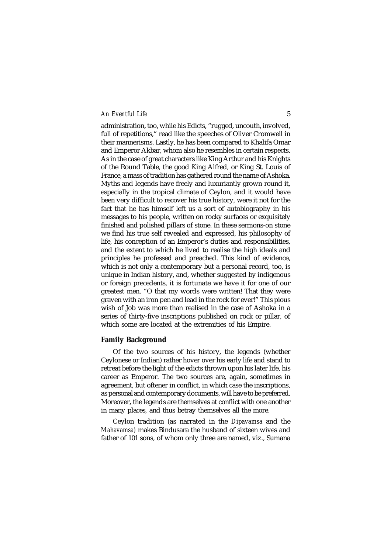administration, too, while his Edicts, "rugged, uncouth, involved, full of repetitions," read like the speeches of Oliver Cromwell in their mannerisms. Lastly, he has been compared to Khalifa Omar and Emperor Akbar, whom also he resembles in certain respects. As in the case of great characters like King Arthur and his Knights of the Round Table, the good King Alfred, or King St. Louis of France, a mass of tradition has gathered round the name of Ashoka. Myths and legends have freely and luxuriantly grown round it, especially in the tropical climate of Ceylon, and it would have been very difficult to recover his true history, were it not for the fact that he has himself left us a sort of autobiography in his messages to his people, written on rocky surfaces or exquisitely finished and polished pillars of stone. In these sermons-on stone we find his true self revealed and expressed, his philosophy of life, his conception of an Emperor's duties and responsibilities, and the extent to which he lived to realise the high ideals and principles he professed and preached. This kind of evidence, which is not only a contemporary but a personal record, too, is unique in Indian history, and, whether suggested by indigenous or foreign precedents, it is fortunate we have it for one of our greatest men. "O that my words were written! That they were graven with an iron pen and lead in the rock for ever!" This pious wish of Job was more than realised in the case of Ashoka in a series of thirty-five inscriptions published on rock or pillar, of which some are located at the extremities of his Empire.

### **Family Background**

Of the two sources of his history, the legends (whether Ceylonese or Indian) rather hover over his early life and stand to retreat before the light of the edicts thrown upon his later life, his career as Emperor. The two sources are, again, sometimes in agreement, but oftener in conflict, in which case the inscriptions, as personal and contemporary documents, will have to be preferred. Moreover, the legends are themselves at conflict with one another in many places, and thus betray themselves all the more.

Ceylon tradition (as narrated in the *Dipavamsa* and the *Mahavamsa)* makes Bindusara the husband of sixteen wives and father of 101 sons, of whom only three are named, viz., Sumana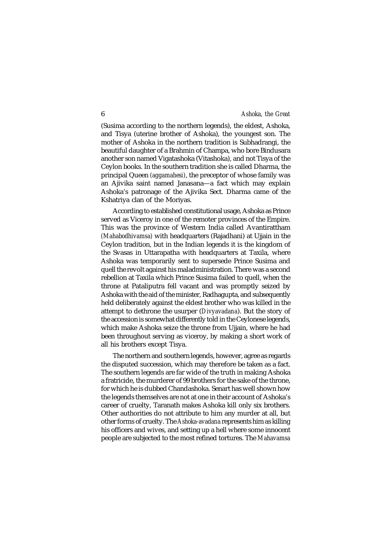(Susima according to the northern legends), the eldest, Ashoka, and Tisya (uterine brother of Ashoka), the youngest son. The mother of Ashoka in the northern tradition is Subhadrangi, the beautiful daughter of a Brahmin of Champa, who bore Bindusara another son named Vigatashoka (Vitashoka), and not Tisya of the Ceylon books. In the southern tradition she is called Dharma, the principal Queen *(aggamahesi)*, the preceptor of whose family was an Ajivika saint named Janasana—a fact which may explain Ashoka's patronage of the Ajivika Sect. Dharma came of the Kshatriya clan of the Moriyas.

According to established constitutional usage, Ashoka as Prince served as Viceroy in one of the remoter provinces of the Empire. This was the province of Western India called Avantirattham *(Mahabodhivamsa)* with headquarters (Rajadhani) at Ujjain in the Ceylon tradition, but in the Indian legends it is the kingdom of the Svasas in Uttarapatha with headquarters at Taxila, where Ashoka was temporarily sent to supersede Prince Susima and quell the revolt against his maladministration. There was a second rebellion at Taxila which Prince Susima failed to quell, when the throne at Pataliputra fell vacant and was promptly seized by Ashoka with the aid of the minister, Radhagupta, and subsequently held deliberately against the eldest brother who was killed in the attempt to dethrone the usurper (*Divyavadana*). But the story of the accession is somewhat differently told in the Ceylonese legends, which make Ashoka seize the throne from Uijain, where he had been throughout serving as viceroy, by making a short work of all his brothers except Tisya.

The northern and southern legends, however, agree as regards the disputed succession, which may therefore be taken as a fact. The southern legends are far wide of the truth in making Ashoka a fratricide, the murderer of 99 brothers for the sake of the throne, for which he is dubbed Chandashoka. Senart has well shown how the legends themselves are not at one in their account of Ashoka's career of cruelty, Taranath makes Ashoka kill only six brothers. Other authorities do not attribute to him any murder at all, but other forms of cruelty. The *Ashoka-avadana* represents him as killing his officers and wives, and setting up a hell where some innocent people are subjected to the most refined tortures. The *Mahavamsa*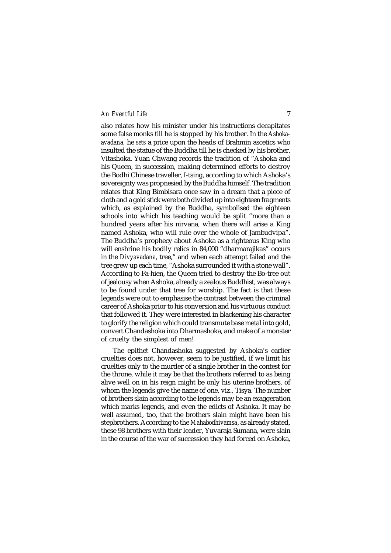also relates how his minister under his instructions decapitates some false monks till he is stopped by his brother. In the *Ashokaavadana,* he *sets* a price upon the heads of Brahmin ascetics who insulted the statue of the Buddha till he is checked by his brother, Vitashoka. Yuan Chwang records the tradition of "Ashoka and his Queen, in succession, making determined efforts to destroy the Bodhi Chinese traveller, I-tsing, according to which Ashoka's sovereignty was propnesied by the Buddha himself. The tradition relates that King Bimbisara once saw in a dream that a piece of cloth and a gold stick were both divided up into eighteen fragments which, as explained by the Buddha, symbolised the eighteen schools into which his teaching would be split "more than a hundred years after his nirvana, when there will arise a King named Ashoka, who will rule over the whole of Jambudvipa". The Buddha's prophecy about Ashoka as a righteous King who will enshrine his bodily relics in 84,000 "dharmarajikas" occurs in the *Divyavadana*, tree," and when each attempt failed and the tree grew up each time, "Ashoka surrounded it with a stone wall". According to Fa-hien, the Queen tried to destroy the Bo-tree out of jealousy when Ashoka, already a zealous Buddhist, was always to be found under that tree for worship. The fact is that these legends were out to emphasise the contrast between the criminal career of Ashoka prior to his conversion and his virtuous conduct that followed it. They were interested in blackening his character to glorify the religion which could transmute base metal into gold, convert Chandashoka into Dharmashoka*,* and make of a monster of cruelty the simplest of men!

The epithet Chandashoka suggested by Ashoka's earlier cruelties does not, however, seem to be justified, if we limit his cruelties only to the murder of a single brother in the contest for the throne, while it may be that the brothers referred to as being alive well on in his reign might be only his uterine brothers, of whom the legends give the name of one, viz., Tisya. The number of brothers slain according to the legends may be an exaggeration which marks legends, and even the edicts of Ashoka. It may be well assumed, too, that the brothers slain might have been his stepbrothers. According to the *Mahabodhivamsa*, as already stated, these 98 brothers with their leader, Yuvaraja Sumana, were slain in the course of the war of succession they had forced on Ashoka,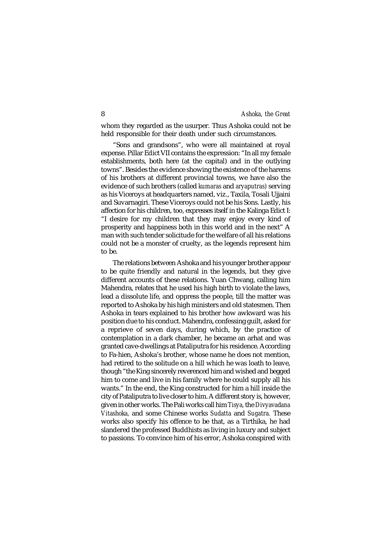whom they regarded as the usurper. Thus Ashoka could not be held responsible for their death under such circumstances.

"Sons and grandsons", who were all maintained at royal expense. Pillar Edict VII contains the expression: "In all my female establishments, both here (at the capital) and in the outlying towns". Besides the evidence showing the existence of the harems of his brothers at different provincial towns, we have also the evidence of such brothers (called *kumaras* and *aryaputras)* serving as his Viceroys at headquarters named, viz., Taxila, Tosali Ujjaini and Suvarnagiri. These Viceroys could not be his Sons. Lastly, his affection for his children, too, expresses itself in the Kalinga Edict I: "I desire for my children that they may enjoy every kind of prosperity and happiness both in this world and in the next" A man with such tender solicitude for the welfare of all his relations could not be a monster of cruelty, as the legends represent him to be.

The relations between Ashoka and his younger brother appear to be quite friendly and natural in the legends, but they give different accounts of these relations. Yuan Chwang, calling him Mahendra, relates that he used his high birth to violate the laws, lead a dissolute life, and oppress the people, till the matter was reported to Ashoka by his high ministers and old statesmen. Then Ashoka in tears explained to his brother how awkward was his position due to his conduct. Mahendra, confessing guilt, asked for a reprieve of seven days, during which, by the practice of contemplation in a dark chamber, he became an arhat and was granted cave-dwellings at Pataliputra for his residence. According to Fa-hien, Ashoka's brother, whose name he does not mention, had retired to the solitude on a hill which he was loath to leave, though "the King sincerely reverenced him and wished and begged him to come and live in his family where he could supply all his wants." In the end, the King constructed for him a hill inside the city of Pataliputra to live closer to him. A different story is, however, given in other works. The Pali works call him *Tisya,* the *Divyavadana Vitashoka,* and some Chinese works *Sudatta* and *Sugatra.* These works also specify his offence to be that, as a Tirthika, he had slandered the professed Buddhists as living in luxury and subject to passions. To convince him of his error, Ashoka conspired with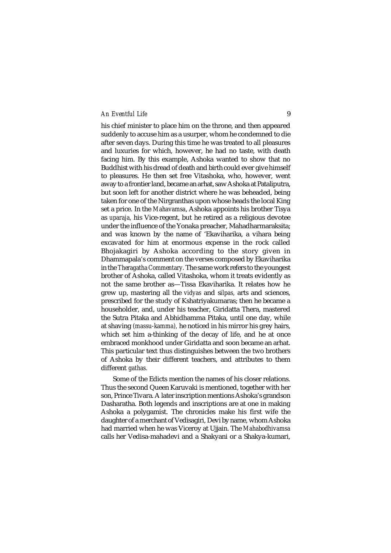his chief minister to place him on the throne, and then appeared suddenly to accuse him as a usurper, whom he condemned to die after seven days. During this time he was treated to all pleasures and luxuries for which, however, he had no taste, with death facing him. By this example, Ashoka wanted to show that no Buddhist with his dread of death and birth could ever give himself to pleasures. He then set free Vitashoka, who, however, went away to a frontier land, became an arhat, saw Ashoka at Pataliputra, but soon left for another district where he was beheaded, being taken for one of the Nirgranthas upon whose heads the local King set a price. In the *Mahavamsa*, Ashoka appoints his brother Tisya as *uparaja,* his Vice-regent, but he retired as a religious devotee under the influence of the Yonaka preacher, Mahadharmaraksita; and was known by the name of 'Ekaviharika, a vihara being excavated for him at enormous expense in the rock called Bhojakagiri by Ashoka according to the story given in Dhammapala's comment on the verses composed by Ekaviharika in the *Theragatha Commentary.* The same work refers to the youngest brother of Ashoka, called Vitashoka, whom it treats evidently as not the same brother as—Tissa Ekaviharika. It relates how he grew up, mastering all the *vidyas* and s*ilpas,* arts and sciences, prescribed for the study of Kshatriyakumaras; then he became a householder, and, under his teacher, Giridatta Thera, mastered the Sutra Pitaka and Abhidhamma Pitaka, until one day, while at shaving *(massu-kamma),* he noticed in his mirror his grey hairs, which set him a-thinking of the decay of life, and he at once embraced monkhood under Giridatta and soon became an arhat. This particular text thus distinguishes between the two brothers of Ashoka by their different teachers, and attributes to them different *gathas.*

Some of the Edicts mention the names of his closer relations. Thus the second Queen Karuvaki is mentioned, together with her son, Prince Tivara. A later inscription mentions Ashoka's grandson Dasharatha. Both legends and inscriptions are at one in making Ashoka a polygamist. The chronicles make his first wife the daughter of a merchant of Vedisagiri, Devi by name, whom Ashoka had married when he was Viceroy at Ujjain. The *Mahabodhivamsa* calls her Vedisa-mahadevi and a Shakyani or a Shakya-kumari,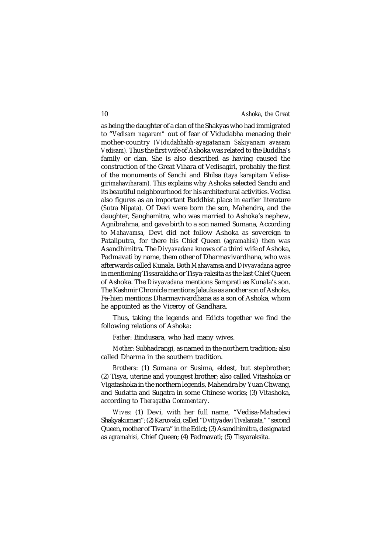as being the daughter of a clan of the Shakyas who had immigrated to "*Vedisam nagaram"* out of fear of Vidudabha menacing their mother-country *(Vidudabhabh-ayagatanam Sakiyanam avasam Vedisam).* Thus the first wife of Ashoka was related to the Buddha's family or clan. She is also described as having caused the construction of the Great Vihara of Vedisagiri, probably the first of the monuments of Sanchi and Bhilsa *(taya karapitam Vedisagirimahaviharam).* This explains why Ashoka selected Sanchi and its beautiful neighbourhood for his architectural activities. Vedisa also figures as an important Buddhist place in earlier literature (*Sutra Nipata).* Of Devi were born the son, Mahendra, and the daughter, Sanghamitra, who was married to Ashoka's nephew, Agnibrahma, and gave birth to a son named Sumana, According to *Mahavamsa,* Devi did not follow Ashoka as sovereign to Pataliputra, for there his Chief Queen *(agramahisi)* then was Asandhimitra. The *Divyavadana* knows of a third wife of Ashoka, Padmavati by name, them other of Dharmavivardhana, who was afterwards called Kunala. Both *Mahavamsa* and *Divyavadana* agree in mentioning Tissarakkha or Tisya-raksita as the last Chief Queen of Ashoka. The *Divyavadana* mentions Samprati as Kunala's son. The Kashmir Chronicle mentions Jalauka as another son of Ashoka, Fa-hien mentions Dharmavivardhana as a son of Ashoka, whom he appointed as the Viceroy of Gandhara.

Thus, taking the legends and Edicts together we find the following relations of Ashoka:

*Father*: Bindusara, who had many wives.

*Mother*: Subhadrangi, as named in the northern tradition; also called Dharma in the southern tradition.

*Brothers*: (1) Sumana or Susima, eldest, but stepbrother; (2) Tisya, uterine and youngest brother; also called Vitashoka or Vigatashoka in the northern legends, Mahendra by Yuan Chwang, and Sudatta and Sugatra in some Chinese works; (3) Vitashoka, according to *Theragatha Commentary*.

*Wives:* (1) Devi, with her full name, "Vedisa-Mahadevi Shakyakumari"; (2) Karuvaki, called "*Dvitiya devi Tivalamata," "*second Queen, mother of Tivara" in the Edict; (3) Asandhimitra, designated as *agramahisi,* Chief Queen; (4) Padmavati; (5) Tisyaraksita.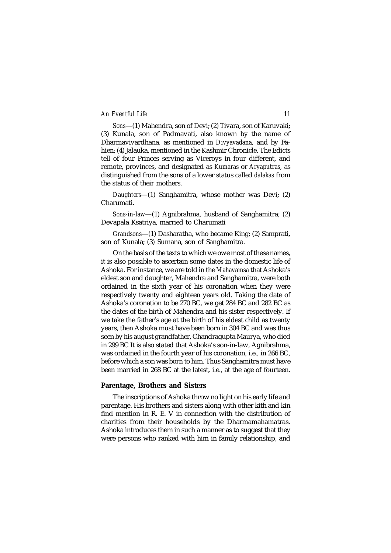*Sons*—(1) Mahendra, son of Devi; (2) Tivara, son of Karuvaki; (3) Kunala, son of Padmavati, also known by the name of Dharmavivardhana, as mentioned in *Divyavadana,* and by Fahien; (4) Jalauka, mentioned in the Kashmir Chronicle. The Edicts tell of four Princes serving as Viceroys in four different, and remote, provinces, and designated as *Kumaras* or *Aryaputras,* as distinguished from the sons of a lower status called *dalakas* from the status of their mothers.

*Daughters*—(1) Sanghamitra, whose mother was Devi; (2) Charumati.

*Sons-in-law*—(1) Agnibrahma, husband of Sanghamitra; (2) Devapala Ksatriya, married to Charumati

*Grandsons*—(1) Dasharatha, who became King; (2) Samprati, son of Kunala; (3) Sumana, son of Sanghamitra.

On the basis of the texts to which we owe most of these names, it is also possible to ascertain some dates in the domestic life of Ashoka. For instance, we are told in the *Mahavamsa* that Ashoka's eldest son and daughter, Mahendra and Sanghamitra, were both ordained in the sixth year of his coronation when they were respectively twenty and eighteen years old. Taking the date of Ashoka's coronation to be 270 BC, we get 284 BC and 282 BC as the dates of the birth of Mahendra and his sister respectively. If we take the father's age at the birth of his eldest child as twenty years, then Ashoka must have been born in 304 BC and was thus seen by his august grandfather, Chandragupta Maurya, who died in 299 BC It is also stated that Ashoka's son-in-law, Agnibrahma, was ordained in the fourth year of his coronation, i.e., in 266 BC, before which a son was born to him. Thus Sanghamitra must have been married in 268 BC at the latest, i.e., at the age of fourteen.

# **Parentage, Brothers and Sisters**

The inscriptions of Ashoka throw no light on his early life and parentage. His brothers and sisters along with other kith and kin find mention in R. E. V in connection with the distribution of charities from their households by the Dharmamahamatras. Ashoka introduces them in such a manner as to suggest that they were persons who ranked with him in family relationship, and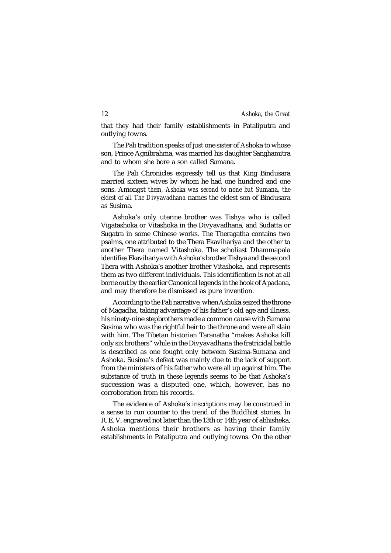that they had their family establishments in Pataliputra and outlying towns.

The Pali tradition speaks of just one sister of Ashoka to whose son, Prince Agnibrahma, was married his daughter Sanghamitra and to whom she bore a son called Sumana.

The Pali Chronicles expressly tell us that King Bindusara married sixteen wives by whom he had one hundred and one sons. Amongst *them, Ashoka was second to none but Sumana, the eldest of all The Divyavadhana* names the eldest son of Bindusara as Susima.

Ashoka's only uterine brother was Tishya who is called Vigatashoka or Vitashoka in the Divyavadhana, and Sudatta or Sugatra in some Chinese works. The Theragatha contains two psalms, one attributed to the Thera Ekavihariya and the other to another Thera named Vitashoka. The scholiast Dhammapala identifies Ekavihariya with Ashoka's brother Tishya and the second Thera with Ashoka's another brother Vitashoka, and represents them as two different individuals. This identification is not at all borne out by the earlier Canonical legends in the book of Apadana, and may therefore be dismissed as pure invention.

According to the Pali narrative, when Ashoka seized the throne of Magadha, taking advantage of his father's old age and illness, his ninety-nine stepbrothers made a common cause with Sumana Susima who was the rightful heir to the throne and were all slain with him. The Tibetan historian Taranatha "makes Ashoka kill only six brothers" while in the Divyavadhana the fratricidal battle is described as one fought only between Susima-Sumana and Ashoka. Susima's defeat was mainly due to the lack of support from the ministers of his father who were all up against him. The substance of truth in these legends seems to be that Ashoka's succession was a disputed one, which, however, has no corroboration from his records.

The evidence of Ashoka's inscriptions may be construed in a sense to run counter to the trend of the Buddhist stories. In R. E. V, engraved not later than the 13th or 14th year of abhisheka, Ashoka mentions their brothers as having their family establishments in Pataliputra and outlying towns. On the other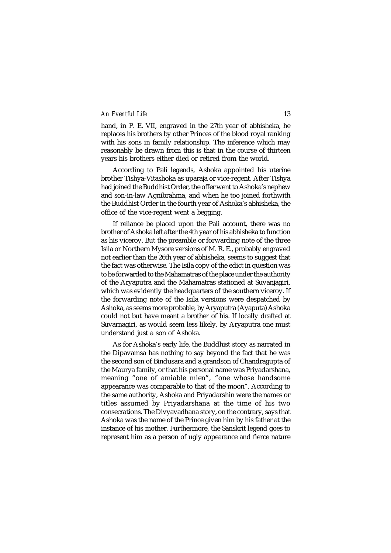hand, in P. E. VII, engraved in the 27th year of abhisheka, he replaces his brothers by other Princes of the blood royal ranking with his sons in family relationship. The inference which may reasonably be drawn from this is that in the course of thirteen years his brothers either died or retired from the world.

According to Pali legends, Ashoka appointed his uterine brother Tishya-Vitashoka as uparaja or vice-regent. After Tishya had joined the Buddhist Order, the offer went to Ashoka's nephew and son-in-law Agnibrahma, and when he too joined forthwith the Buddhist Order in the fourth year of Ashoka's abhisheka, the office of the vice-regent went a begging.

If reliance be placed upon the Pali account, there was no brother of Ashoka left after the 4th year of his abhisheka to function as his viceroy. But the preamble or forwarding note of the three Isila or Northern Mysore versions of M. R. E., probably engraved not earlier than the 26th year of abhisheka, seems to suggest that the fact was otherwise. The Isila copy of the edict in question was to be forwarded to the Mahamatras of the place under the authority of the Aryaputra and the Mahamatras stationed at Suvanjagiri, which was evidently the headquarters of the southern viceroy. If the forwarding note of the Isila versions were despatched by Ashoka, as seems more probable, by Aryaputra (Ayaputa) Ashoka could not but have meant a brother of his. If locally drafted at Suvarnagiri, as would seem less likely, by Aryaputra one must understand just a son of Ashoka.

As for Ashoka's early life, the Buddhist story as narrated in the Dipavamsa has nothing to say beyond the fact that he was the second son of Bindusara and a grandson of Chandragupta of the Maurya family, or that his personal name was Priyadarshana, meaning "one of amiable mien", "one whose handsome appearance was comparable to that of the moon". According to the same authority, Ashoka and Priyadarshin were the names or titles assumed by Priyadarshana at the time of his two consecrations. The Divyavadhana story, on the contrary, says that Ashoka was the name of the Prince given him by his father at the instance of his mother. Furthermore, the Sanskrit legend goes to represent him as a person of ugly appearance and fierce nature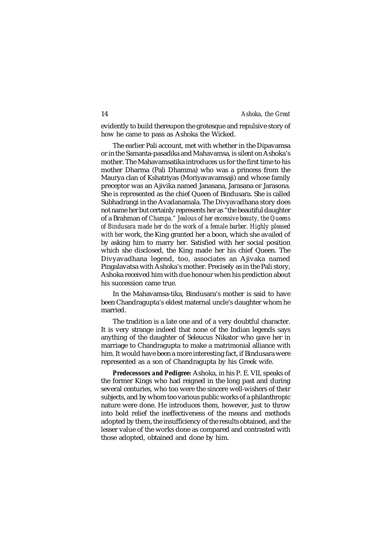evidently to build thereupon the grotesque and repulsive story of how he came to pass as Ashoka the Wicked.

The earlier Pali account, met with whether in the Dipavamsa or in the Samanta-pasadika and Mahavamsa, is silent on Ashoka's mother. The Mahavamsatika introduces us for the first time to his mother Dharma (Pali Dhamma) who was a princess from the Maurya clan of Kshatriyas (Moriyavavamsaji) and whose family preceptor was an Ajivika named Janasana, Jarasana or Jarasona. She is represented as the chief Queen of Bindusara. She is called Subhadrangi in the Avadanamala. The Divyavadhana story does not name her but certainly represents her as "the beautiful daughter of a Brahman of *Champa." Jealous of her excessive beauty, the Queens of Bindusara made her do the work of a female barber. Highly pleased with her* work, the King granted her a boon, which she availed of by asking him to marry her. Satisfied with her social position which she disclosed, the King made her his chief Queen. The Divyavadhana legend, too, associates an Ajivaka named Pingalavatsa with Ashoka's mother. Precisely as in the Pali story, Ashoka received him with due honour when his prediction about his succession came true.

In the Mahavamsa-tika, Bindusara's mother is said to have been Chandragupta's eldest maternal uncle's daughter whom he married.

The tradition is a late one and of a very doubtful character. It is very strange indeed that none of the Indian legends says anything of the daughter of Seleucus Nikator who gave her in marriage to Chandragupta to make a matrimonial alliance with him. It would have been a more interesting fact, if Bindusara were represented as a son of Chandragupta by his Greek wife.

*Predecessors and Pedigree:* Ashoka, in his P. E. VII, speaks of the former Kings who had reigned in the long past and during several centuries, who too were the sincere well-wishers of their subjects, and by whom too various public works of a philanthropic nature were done. He introduces them, however, just to throw into bold relief the ineffectiveness of the means and methods adopted by them, the insufficiency of the results obtained, and the lesser value of the works done as compared and contrasted with those adopted, obtained and done by him.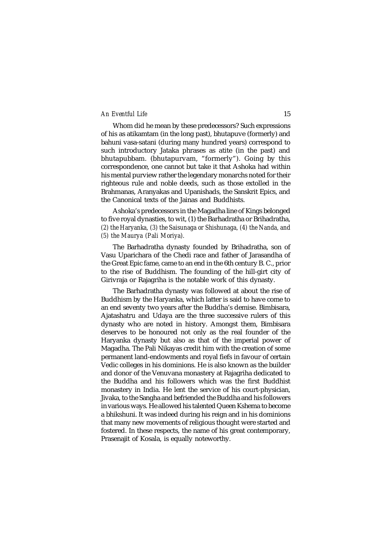Whom did he mean by these predecessors? Such expressions of his as atikamtam (in the long past), bhutapuve (formerly) and bahuni vasa-satani (during many hundred years) correspond to such introductory Jataka phrases as atite (in the past) and bhutapubbam. (bhutapurvam, "formerly"). Going by this correspondence, one cannot but take it that Ashoka had within his mental purview rather the legendary monarchs noted for their righteous rule and noble deeds, such as those extolled in the Brahmanas, Aranyakas and Upanishads, the Sanskrit Epics, and the Canonical texts of the Jainas and Buddhists.

Ashoka's predecessors in the Magadha line of Kings belonged to five royal dynasties, to wit, (1) the Barhadratha or Brihadratha, *(2) the Haryanka, (3) the Saisunaga or Shishunaga, (4) the Nanda, and (5) the Maurya (Pali Moriya).*

The Barhadratha dynasty founded by Brihadratha, son of Vasu Uparichara of the Chedi race and father of Jarasandha of the Great Epic fame, came to an end in the 6th century B. C., prior to the rise of Buddhism. The founding of the hill-girt city of Girivraja or Rajagriha is the notable work of this dynasty.

The Barhadratha dynasty was followed at about the rise of Buddhism by the Haryanka, which latter is said to have come to an end seventy two years after the Buddha's demise. Bimbisara, Ajatashatru and Udaya are the three successive rulers of this dynasty who are noted in history. Amongst them, Bimbisara deserves to be honoured not only as the real founder of the Haryanka dynasty but also as that of the imperial power of Magadha. The Pali Nikayas credit him with the creation of some permanent land-endowments and royal fiefs in favour of certain Vedic colleges in his dominions. He is also known as the builder and donor of the Venuvana monastery at Rajagriha dedicated to the Buddha and his followers which was the first Buddhist monastery in India. He lent the service of his court-physician, Jivaka, to the Sangha and befriended the Buddha and his followers in various ways. He allowed his talented Queen Kshema to become a bhikshuni. It was indeed during his reign and in his dominions that many new movements of religious thought were started and fostered. In these respects, the name of his great contemporary, Prasenajit of Kosala, is equally noteworthy.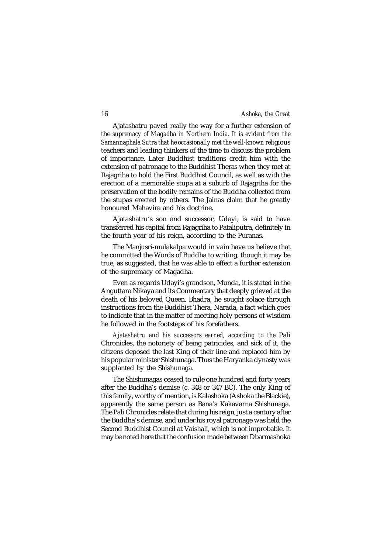Ajatashatru paved really the way for a further extension of the *supremacy of Magadha in Northern India. It is evident from the Samannaphala Sutra that he occasionally met the well-known reli*gious teachers and leading thinkers of the time to discuss the problem of importance. Later Buddhist traditions credit him with the extension of patronage to the Buddhist Theras when they met at Rajagriha to hold the First Buddhist Council, as well as with the erection of a memorable stupa at a suburb of Rajagriha for the preservation of the bodily remains of the Buddha collected from the stupas erected by others. The Jainas claim that he greatly honoured Mahavira and his doctrine.

Ajatashatru's son and successor, Udayi, is said to have transferred his capital from Rajagriha to Pataliputra, definitely in the fourth year of his reign, according to the Puranas.

The Manjusri-mulakalpa would in vain have us believe that he committed the Words of Buddha to writing, though it may be true, as suggested, that he was able to effect a further extension of the supremacy of Magadha.

Even as regards Udayi's grandson, Munda, it is stated in the Anguttara Nikaya and its Commentary that deeply grieved at the death of his beloved Queen, Bhadra, he sought solace through instructions from the Buddhist Thera, Narada, a fact which goes to indicate that in the matter of meeting holy persons of wisdom he followed in the footsteps of his forefathers.

*Ajatashatru and his successors earned, according to the* Pali Chronicles, the notoriety of being patricides, and sick of it, the citizens deposed the last King of their line and replaced him by his popular minister Shishunaga. Thus the Haryanka dynasty was supplanted by the Shishunaga.

The Shishunagas ceased to rule one hundred and forty years after the Buddha's demise (c. 348 or 347 BC). The only King of this family, worthy of mention, is Kalashoka (Ashoka the Blackie), apparently the same person as Bana's Kakavarna Shishunaga. The Pali Chronicles relate that during his reign, just a century after the Buddha's demise, and under his royal patronage was held the Second Buddhist Council at Vaishali, which is not improbable. It may be noted here that the confusion made between Dbarmashoka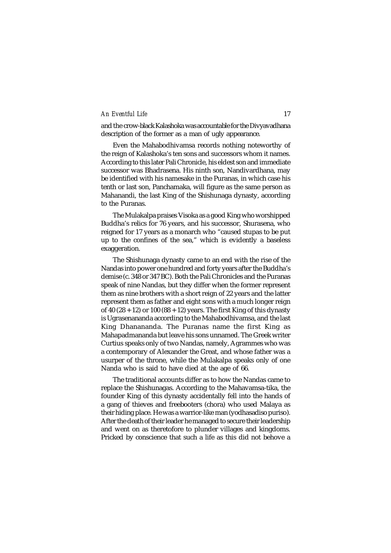and the crow-black Kalashoka was accountable for the Divyavadhana description of the former as a man of ugly appearance.

Even the Mahabodhivamsa records nothing noteworthy of the reign of Kalashoka's ten sons and successors whom it names. According to this later Pali Chronicle, his eldest son and immediate successor was Bhadrasena. His ninth son, Nandivardhana, may be identified with his namesake in the Puranas, in which case his tenth or last son, Panchamaka, will figure as the same person as Mahanandi, the last King of the Shishunaga dynasty, according to the Puranas.

The Mulakalpa praises Visoka as a good King who worshipped Buddha's relics for 76 years, and his successor, Shurasena, who reigned for 17 years as a monarch who "caused stupas to be put up to the confines of the sea," which is evidently a baseless exaggeration.

The Shishunaga dynasty came to an end with the rise of the Nandas into power one hundred and forty years after the Buddha's demise (c. 348 or 347 BC). Both the Pali Chronicles and the Puranas speak of nine Nandas, but they differ when the former represent them as nine brothers with a short reign of 22 years and the latter represent them as father and eight sons with a much longer reign of 40 (28 + 12) or 100 (88 + 12) years. The first King of this dynasty is Ugrasenananda according to the Mahabodhivamsa, and the last King Dhanananda. The Puranas name the first King as Mahapadmananda but leave his sons unnamed. The Greek writer Curtius speaks only of two Nandas, namely, Agrammes who was a contemporary of Alexander the Great, and whose father was a usurper of the throne, while the Mulakalpa speaks only of one Nanda who is said to have died at the age of 66.

The traditional accounts differ as to how the Nandas came to replace the Shishunagas. According to the Mahavamsa-tika, the founder King of this dynasty accidentally fell into the hands of a gang of thieves and freebooters (chora) who used Malaya as their hiding place. He was a warrior-like man (yodhasadiso puriso). After the death of their leader he managed to secure their leadership and went on as theretofore to plunder villages and kingdoms. Pricked by conscience that such a life as this did not behove a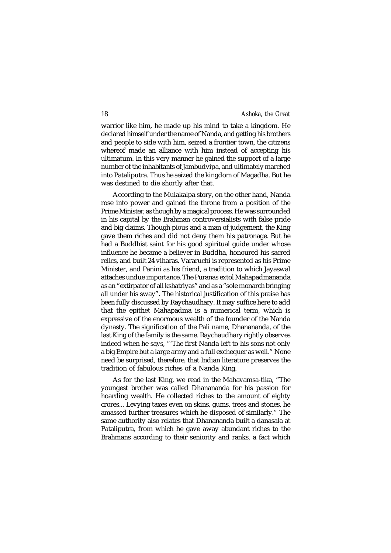warrior like him, he made up his mind to take a kingdom. He declared himself under the name of Nanda, and getting his brothers and people to side with him, seized a frontier town, the citizens whereof made an alliance with him instead of accepting his ultimatum. In this very manner he gained the support of a large number of the inhabitants of Jambudvipa, and ultimately marched into Pataliputra. Thus he seized the kingdom of Magadha. But he was destined to die shortly after that.

According to the Mulakalpa story, on the other hand, Nanda rose into power and gained the throne from a position of the Prime Minister, as though by a magical process. He was surrounded in his capital by the Brahman controversialists with false pride and big claims. Though pious and a man of judgement, the King gave them riches and did not deny them his patronage. But he had a Buddhist saint for his good spiritual guide under whose influence he became a believer in Buddha, honoured his sacred relics, and built 24 viharas. Vararuchi is represented as his Prime Minister, and Panini as his friend, a tradition to which Jayaswal attaches undue importance. The Puranas extol Mahapadmananda as an "extirpator of all kshatriyas" and as a "sole monarch bringing all under his sway". The historical justification of this praise has been fully discussed by Raychaudhary. It may suffice here to add that the epithet Mahapadma is a numerical term, which is expressive of the enormous wealth of the founder of the Nanda dynasty. The signification of the Pali name, Dhanananda, of the last King of the family is the same. Raychaudhary rightly observes indeed when he says, "'The first Nanda left to his sons not only a big Empire but a large army and a full exchequer as well." None need be surprised, therefore, that Indian literature preserves the tradition of fabulous riches of a Nanda King.

As for the last King, we read in the Mahavamsa-tika, "The youngest brother was called Dhanananda for his passion for hoarding wealth. He collected riches to the amount of eighty crores... Levying taxes even on skins, gums, trees and stones, he amassed further treasures which he disposed of similarly." The same authority also relates that Dhanananda built a danasala at Pataliputra, from which he gave away abundant riches to the Brahmans according to their seniority and ranks, a fact which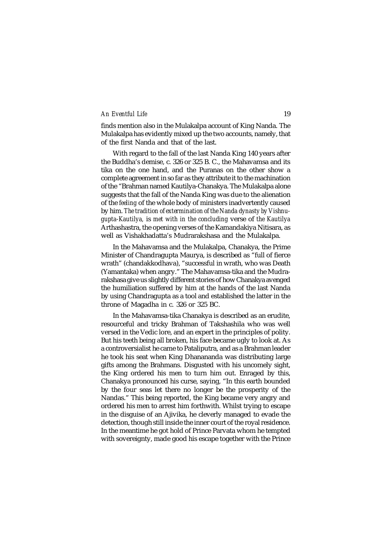finds mention also in the Mulakalpa account of King Nanda. The Mulakalpa has evidently mixed up the two accounts, namely, that of the first Nanda and that of the last.

With regard to the fall of the last Nanda King 140 years after the Buddha's demise, c. 326 or 325 B. C., the Mahavamsa and its tika on the one hand, and the Puranas on the other show a complete agreement in so far as they attribute it to the machination of the "Brahman named Kautilya-Chanakya. The Mulakalpa alone suggests that the fall of the Nanda King was due to the alienation of the *feeling* of the whole body of ministers inadvertently caused by him. *The tradition of extermination of the Nanda dynasty by Vishnugupta-Kautilya,* is *met with in the concluding* verse of *the Kautilya* Arthashastra, the opening verses of the Kamandakiya Nitisara, as well as Vishakhadatta's Mudrarakshasa and the Mulakalpa.

In the Mahavamsa and the Mulakalpa, Chanakya, the Prime Minister of Chandragupta Maurya, is described as "full of fierce wrath" (chandakkodhava), "successful in wrath, who was Death (Yamantaka) when angry." The Mahavamsa-tika and the Mudrarakshasa give us slightly different stories of how Chanakya avenged the humiliation suffered by him at the hands of the last Nanda by using Chandragupta as a tool and established the latter in the throne of Magadha in c. 326 or 325 BC.

In the Mahavamsa-tika Chanakya is described as an erudite, resourceful and tricky Brahman of Takshashila who was well versed in the Vedic lore, and an expert in the principles of polity. But his teeth being all broken, his face became ugly to look at. As a controversialist he came to Pataliputra, and as a Brahman leader he took his seat when King Dhanananda was distributing large gifts among the Brahmans. Disgusted with his uncomely sight, the King ordered his men to turn him out. Enraged by this, Chanakya pronounced his curse, saying, "In this earth bounded by the four seas let there no longer be the prosperity of the Nandas." This being reported, the King became very angry and ordered his men to arrest him forthwith. Whilst trying to escape in the disguise of an Ajivika, he cleverly managed to evade the detection, though still inside the inner court of the royal residence. In the meantime he got hold of Prince Parvata whom he tempted with sovereignty, made good his escape together with the Prince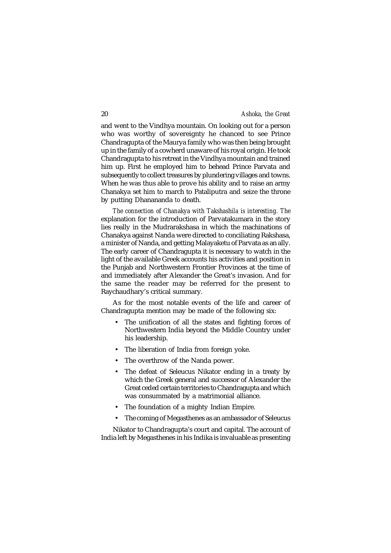and went to the Vindhya mountain. On looking out for a person who was worthy of sovereignty he chanced to see Prince Chandragupta of the Maurya family who was then being brought up in the family of a cowherd unaware of his royal origin. He took Chandragupta to his retreat in the Vindhya mountain and trained him up. First he employed him to behead Prince Parvata and subsequently to collect treasures by plundering villages and towns. When he was thus able to prove his ability and to raise an army Chanakya set him to march to Pataliputra and seize the throne by putting Dhanananda *to* death.

*The connection of Chanakya with Takshashila is interesting. The* explanation for the introduction of Parvatakumara in the story lies really in the Mudrarakshasa in which the machinations of Chanakya against Nanda were directed to conciliating Rakshasa, a minister of Nanda, and getting Malayaketu of Parvata as an ally. The early career of Chandragupta it is necessary to watch in the light of the available Greek accounts his activities and position in the Punjab and Northwestern Frontier Provinces at the time of and immediately after Alexander the Great's invasion. And for the same the reader may be referred for the present to Raychaudhary's critical summary.

As for the most notable events of the life and career of Chandragupta mention may be made of the following six:

- The unification of all the states and fighting forces of Northwestern India beyond the Middle Country under his leadership.
- The liberation of India from foreign yoke.
- The overthrow of the Nanda power.
- The defeat of Seleucus Nikator ending in a treaty by which the Greek general and successor of Alexander the Great ceded certain territories to Chandragupta and which was consummated by a matrimonial alliance.
- The foundation of a mighty Indian Empire.
- The coming of Megasthenes as an ambassador of Seleucus

Nikator to Chandragupta's court and capital. The account of India left by Megasthenes in his Indika is invaluable as presenting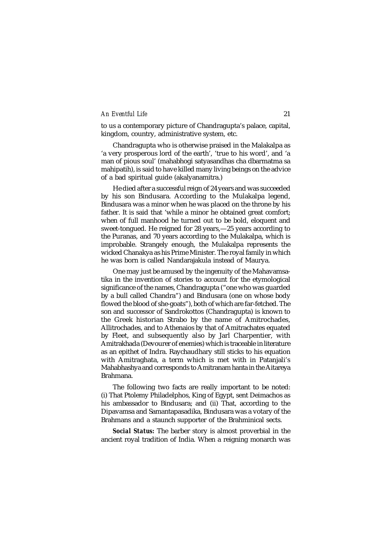to us a contemporary picture of Chandragupta's palace, capital, kingdom, country, administrative system, etc.

Chandragupta who is otherwise praised in the Malakalpa as 'a very prosperous lord of the earth', 'true to his word', and 'a man of pious soul' (mahabhogi satyasandhas cha dbarmatma sa mahipatih), is said to have killed many living beings on the advice of a bad spiritual guide (akalyanamitra.)

He died after a successful reign of 24 years and was succeeded by his son Bindusara. According to the Mulakalpa legend, Bindusara was a minor when he was placed on the throne by his father. It is said that 'while a minor he obtained great comfort; when of full manhood he turned out to be bold, eloquent and sweet-tongued. He reigned for 28 years,—25 years according to the Puranas, and 70 years according to the Mulakalpa, which is improbable. Strangely enough, the Mulakalpa represents the wicked Chanakya as his Prime Minister. The royal family in which he was born is called Nandarajakula instead of Maurya.

One may just be amused by the ingenuity of the Mahavamsatika in the invention of stories to account for the etymological significance of the names, Chandragupta ("one who was guarded by a bull called Chandra") and Bindusara (one on whose body flowed the blood of she-goats"), both of which are far-fetched. The son and successor of Sandrokottos (Chandragupta) is known to the Greek historian Strabo by the name of Amitrochades, Allitrochades, and to Athenaios by that of Amitrachates equated by Fleet, and subsequently also by Jarl Charpentier, with Amitrakhada (Devourer of enemies) which is traceable in literature as an epithet of Indra. Raychaudhary still sticks to his equation with Amitraghata, a term which is met with in Pataniali's Mahabhashya and corresponds to Amitranam hanta in the Aitareya Brahmana.

The following two facts are really important to be noted: (i) That Ptolemy Philadelphos, King of Egypt, sent Deimachos as his ambassador to Bindusara; and (ii) That, according to the Dipavamsa and Samantapasadika, Bindusara was a votary of the Brahmans and a staunch supporter of the Brahminical sects.

**Social Status:** The barber story is almost proverbial in the ancient royal tradition of India. When a reigning monarch was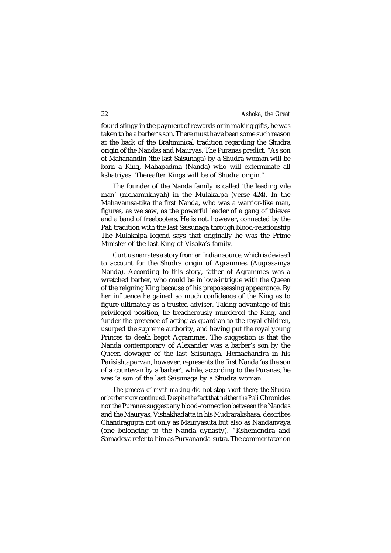found stingy in the payment of rewards or in making gifts, he was taken to be a barber's son. There must have been some such reason at the back of the Brahminical tradition regarding the Shudra origin of the Nandas and Mauryas. The Puranas predict, "As son of Mahanandin (the last Saisunaga) by a Shudra woman will be born a King, Mahapadma (Nanda) who will exterminate all kshatriyas. Thereafter Kings will be of Shudra origin."

The founder of the Nanda family is called 'the leading vile man' (nichamukhyah) in the Mulakalpa (verse 424). In the Mahavamsa-tika the first Nanda, who was a warrior-like man, figures, as we saw, as the powerful leader of a gang of thieves and a band of freebooters. He is not, however, connected by the Pali tradition with the last Saisunaga through blood-relationship The Mulakalpa legend says that originally he was the Prime Minister of the last King of Visoka's family.

Curtius narrates a story from an Indian source, which is devised to account for the Shudra origin of Agrammes (Augrasainya Nanda). According to this story, father of Agrammes was a wretched barber, who could be in love-intrigue with the Queen of the reigning King because of his prepossessing appearance. By her influence he gained so much confidence of the King as to figure ultimately as a trusted adviser. Taking advantage of this privileged position, he treacherously murdered the King, and 'under the pretence of acting as guardian to the royal children, usurped the supreme authority, and having put the royal young Princes to death begot Agrammes. The suggestion is that the Nanda contemporary of Alexander was a barber's son by the Queen dowager of the last Saisunaga. Hemachandra in his Parisishtaparvan, however, represents the first Nanda 'as the son of a courtezan by a barber', while, according to the Puranas, he was 'a son of the last Saisunaga by a Shudra woman.

*The process of myth-making did not stop short there; the Shudra or barber story continued. Despite the* fact *that neither the Pali* Chronicles nor the Puranas suggest any blood-connection between the Nandas and the Mauryas, Vishakhadatta in his Mudrarakshasa, describes Chandragupta not only as Mauryasuta but also as Nandanvaya (one belonging to the Nanda dynasty). "Kshemendra and Somadeva refer to him as Purvananda-sutra. The commentator on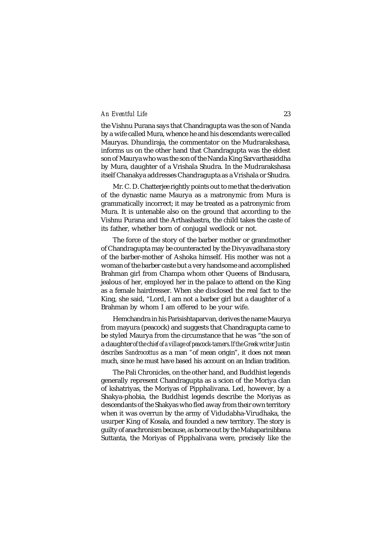the Vishnu Purana says that Chandragupta was the son of Nanda by a wife called Mura, whence he and his descendants were called Mauryas. Dhundiraja, the commentator on the Mudrarakshasa, informs us on the other hand that Chandragupta was the eldest son of Maurya who was the son of the Nanda King Sarvarthasiddha by Mura, daughter of a Vrishala Shudra. In the Mudrarakshasa itself Chanakya addresses Chandragupta as a Vrishala or Shudra.

Mr. C. D. Chatterjee rightly points out to me that the derivation of the dynastic name Maurya as a matronymic from Mura is grammatically incorrect; it may be treated as a patronymic from Mura. It is untenable also on the ground that according to the Vishnu Purana and the Arthashastra, the child takes the caste of its father, whether born of conjugal wedlock or not.

The force of the story of the barber mother or grandmother of Chandragupta may be counteracted by the Divyavadhana story of the barber-mother of Ashoka himself. His mother was not a woman of the barber caste but a very handsome and accomplished Brahman girl from Champa whom other Queens of Bindusara, jealous of her, employed her in the palace to attend on the King as a female hairdresser. When she disclosed the real fact to the King, she said, "Lord, I am not a barber girl but a daughter of a Brahman by whom I am offered to be your wife.

Hemchandra in his Parisishtaparvan, derives the name Maurya from mayura (peacock) and suggests that Chandragupta came to be styled Maurya from the circumstance that he was "the son of a daughter *of the chief of a village of peacock-tamers.If the Greek writer Justin describes Sandrocottus* as a man *"*of mean origin", it does not mean much, since he must have based his account on an Indian tradition.

The Pali Chronicles, on the other hand, and Buddhist legends generally represent Chandragupta as a scion of the Moriya clan of kshatriyas, the Moriyas of Pipphalivana. Led, however, by a Shakya-phobia, the Buddhist legends describe the Moriyas as descendants of the Shakyas who fled away from their own territory when it was overrun by the army of Vidudabha-Virudhaka, the usurper King of Kosala, and founded a new territory. The story is guilty of anachronism because, as borne out by the Mahaparinibbana Suttanta, the Moriyas of Pipphalivana were, precisely like the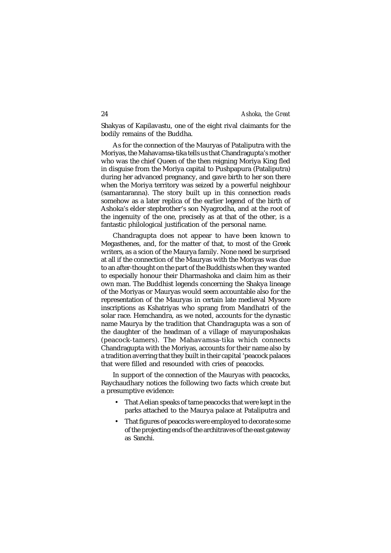Shakyas of Kapilavastu, one of the eight rival claimants for the bodily remains of the Buddha.

As for the connection of the Mauryas of Pataliputra with the Moriyas, the Mahavamsa-tika tells us that Chandragupta's mother who was the chief Queen of the then reigning Moriya King fled in disguise from the Moriya capital to Pushpapura (Pataliputra) during her advanced pregnancy, and gave birth to her son there when the Moriya territory was seized by a powerful neighbour (samantaranna). The story built up in this connection reads somehow as a later replica of the earlier legend of the birth of Ashoka's elder stepbrother's son Nyagrodha, and at the root of the ingenuity of the one, precisely as at that of the other, is a fantastic philological justification of the personal name.

Chandragupta does not appear to have been known to Megasthenes, and, for the matter of that, to most of the Greek writers, as a scion of the Maurya family. None need be surprised at all if the connection of the Mauryas with the Moriyas was due to an after-thought on the part of the Buddhists when they wanted to especially honour their Dharmashoka and claim him as their own man. The Buddhist legends concerning the Shakya lineage of the Moriyas or Mauryas would seem accountable also for the representation of the Mauryas in certain late medieval Mysore inscriptions as Kshatriyas who sprang from Mandhatri of the solar race. Hemchandra, as we noted, accounts for the dynastic name Maurya by the tradition that Chandragupta was a son of the daughter of the headman of a village of mayuraposhakas (peacock-tamers). The Mahavamsa-tika which connects Chandragupta with the Moriyas, accounts for their name also by a tradition averring that they built in their capital 'peacock palaces that were filled and resounded with cries of peacocks.

In support of the connection of the Mauryas with peacocks, Raychaudhary notices the following two facts which create but a presumptive evidence:

- That Aelian speaks of tame peacocks that were kept in the parks attached to the Maurya palace at Pataliputra and
- That figures of peacocks were employed to decorate some of the projecting ends of the architraves of the east gateway as Sanchi.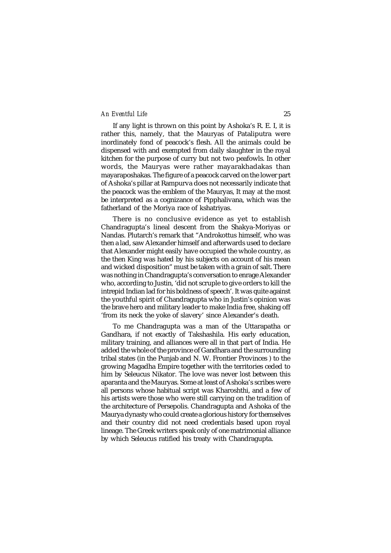If any light is thrown on this point by Ashoka's R. E. I, it is rather this, namely, that the Mauryas of Pataliputra were inordinately fond of peacock's flesh. All the animals could be dispensed with and exempted from daily slaughter in the royal kitchen for the purpose of curry but not two peafowls. In other words, the Mauryas were rather mayarakhadakas than mayaraposhakas. The figure of a peacock carved on the lower part of Ashoka's pillar at Rampurva does not necessarily indicate that the peacock was the emblem of the Mauryas, It may at the most be interpreted as a cognizance of Pipphalivana, which was the fatherland of the Moriya race of kshatriyas.

There is no conclusive evidence as yet to establish Chandragupta's lineal descent from the Shakya-Moriyas or Nandas. Plutarch's remark that "Androkottus himself, who was then a lad, saw Alexander himself and afterwards used to declare that Alexander might easily have occupied the whole country, as the then King was hated by his subjects on account of his mean and wicked disposition" must be taken with a grain of salt. There was nothing in Chandragupta's conversation to enrage Alexander who, according to Justin, 'did not scruple to give orders to kill the intrepid Indian lad for his boldness of speech'. It was quite against the youthful spirit of Chandragupta who in Justin's opinion was the brave hero and military leader to make India free, shaking off 'from its neck the yoke of slavery' since Alexander's death.

To me Chandragupta was a man of the Uttarapatha or Gandhara, if not exactly of Takshashila. His early education, military training, and alliances were all in that part of India. He added the whole of the province of Gandhara and the surrounding tribal states (in the Punjab and N. W. Frontier Provinces ) to the growing Magadha Empire together with the territories ceded to him by Seleucus Nikator. The love was never lost between this aparanta and the Mauryas. Some at least of Ashoka's scribes were all persons whose habitual script was Kharoshthi, and a few of his artists were those who were still carrying on the tradition of the architecture of Persepolis. Chandragupta and Ashoka of the Maurya dynasty who could create a glorious history for themselves and their country did not need credentials based upon royal lineage. The Greek writers speak only of one matrimonial alliance by which Seleucus ratified his treaty with Chandragupta.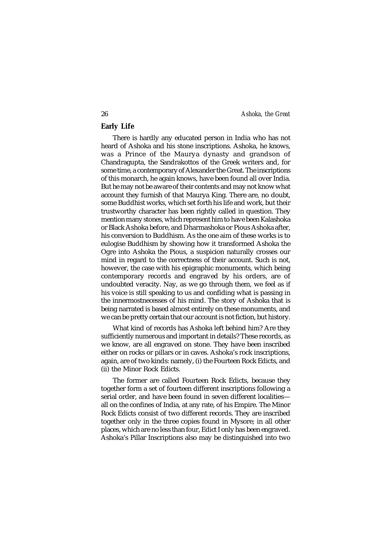# **Early Life**

There is hardly any educated person in India who has not heard of Ashoka and his stone inscriptions. Ashoka, he knows, was a Prince of the Maurya dynasty and grandson of Chandragupta, the Sandrakottos of the Greek writers and, for some time, a contemporary of Alexander the Great. The inscriptions of this monarch, he again knows, have been found all over India. But he may not be aware of their contents and may not know what account they furnish of that Maurya King. There are, no doubt, some Buddhist works, which set forth his life and work, but their trustworthy character has been rightly called in question. They mention many stones, which represent him to have been Kalashoka or Black Ashoka before, and Dharmashoka or Pious Ashoka after, his conversion to Buddhism. As the one aim of these works is to eulogise Buddhism by showing how it transformed Ashoka the Ogre into Ashoka the Pious, a suspicion naturally crosses our mind in regard to the correctness of their account. Such is not, however, the case with his epigraphic monuments, which being contemporary records and engraved by his orders, are of undoubted veracity. Nay, as we go through them, we feel as if his voice is still speaking to us and confiding what is passing in the innermostnecesses of his mind. The story of Ashoka that is being narrated is based almost entirely on these monuments, and we can be pretty certain that our account is not fiction, but history.

What kind of records has Ashoka left behind him? Are they sufficiently numerous and important in details? These records, as we know, are all engraved on stone. They have been inscribed either on rocks or pillars or in caves. Ashoka's rock inscriptions, again, are of two kinds: namely, (i) the Fourteen Rock Edicts, and (ii) the Minor Rock Edicts.

The former are called Fourteen Rock Edicts, because they together form a set of fourteen different inscriptions following a serial order, and have been found in seven different localities all on the confines of India, at any rate, of his Empire. The Minor Rock Edicts consist of two different records. They are inscribed together only in the three copies found in Mysore; in all other places, which are no less than four, Edict I only has been engraved. Ashoka's Pillar Inscriptions also may be distinguished into two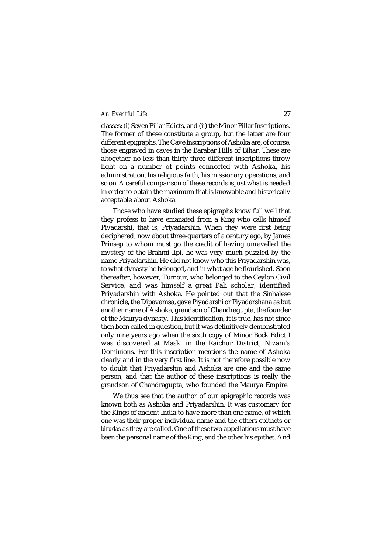classes: (i) Seven Pillar Edicts, and (ii) the Minor Pillar Inscriptions. The former of these constitute a group, but the latter are four different epigraphs. The Cave Inscriptions of Ashoka are, of course, those engraved in caves in the Barabar Hills of Bihar. These are altogether no less than thirty-three different inscriptions throw light on a number of points connected with Ashoka, his administration, his religious faith, his missionary operations, and so on. A careful comparison of these records is just what is needed in order to obtain the maximum that is knowable and historically acceptable about Ashoka.

Those who have studied these epigraphs know full well that they profess to have emanated from a King who calls himself Piyadarshi, that is, Priyadarshin. When they were first being deciphered, now about three-quarters of a century ago, by James Prinsep to whom must go the credit of having unravelled the mystery of the Brahmi lipi*,* he was very much puzzled by the name Priyadarshin. He did not know who this Priyadarshin was, to what dynasty he belonged, and in what age he flourished. Soon thereafter, however, Tumour, who belonged to the Ceylon Civil Service, and was himself a great Pali scholar, identified Priyadarshin with Ashoka. He pointed out that the Sinhalese chronicle, the Dipavamsa, gave Piyadarshi or Piyadarshana as but another name of Ashoka, grandson of Chandragupta, the founder of the Maurya dynasty. This identification, it is true, has not since then been called in question, but it was definitively demonstrated only nine years ago when the sixth copy of Minor Bock Edict I was discovered at Maski in the Raichur District, Nizam's Dominions. For this inscription mentions the name of Ashoka clearly and in the very first line. It is not therefore possible now to doubt that Priyadarshin and Ashoka are one and the same person, and that the author of these inscriptions is really the grandson of Chandragupta, who founded the Maurya Empire.

We thus see that the author of our epigraphic records was known both as Ashoka and Priyadarshin. It was customary for the Kings of ancient India to have more than one name, of which one was their proper individual name and the others epithets or *birudas* as they are called. One of these two appellations must have been the personal name of the King, and the other his epithet. And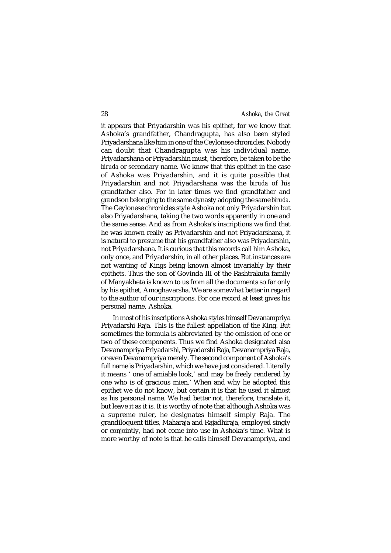it appears that Priyadarshin was his epithet, for we know that Ashoka's grandfather, Chandragupta, has also been styled Priyadarshana like him in one of the Ceylonese chronicles. Nobody can doubt that Chandragupta was his individual name. Priyadarshana or Priyadarshin must, therefore, be taken to be the *biruda* or secondary name. We know that this epithet in the case of Ashoka was Priyadarshin, and it is quite possible that Priyadarshin and not Priyadarshana was the *biruda* of his grandfather also. For in later times we find grandfather and grandson belonging to the same dynasty adopting the same *biruda.* The Ceylonese chronicles style Ashoka not only Priyadarshin but also Priyadarshana, taking the two words apparently in one and the same sense. And as from Ashoka's inscriptions we find that he was known really as Priyadarshin and not Priyadarshana, it is natural to presume that his grandfather also was Priyadarshin, not Priyadarshana. It is curious that this records call him Ashoka, only once, and Priyadarshin, in all other places. But instances are not wanting of Kings being known almost invariably by their epithets. Thus the son of Govinda III of the Rashtrakuta family of Manyakheta is known to us from all the documents so far only by his epithet, Amoghavarsha. We are somewhat better in regard to the author of our inscriptions. For one record at least gives his personal name, Ashoka.

In most of his inscriptions Ashoka styles himself Devanampriya Priyadarshi Raja. This is the fullest appellation of the King. But sometimes the formula is abbreviated by the omission of one or two of these components. Thus we find Ashoka designated also Devanampriya Priyadarshi, Priyadarshi Raja, Devanampriya Raja, or even Devanampriya merely. The second component of Ashoka's full name is Priyadarshin, which we have just considered. Literally it means ' one of amiable look,' and may be freely rendered by one who is of gracious mien.' When and why he adopted this epithet we do not know, but certain it is that he used it almost as his personal name. We had better not, therefore, translate it, but leave it as it is. It is worthy of note that although Ashoka was a supreme ruler, he designates himself simply Raja. The grandiloquent titles, Maharaja and Rajadhiraja, employed singly or conjointly, had not come into use in Ashoka's time. What is more worthy of note is that he calls himself Devanampriya, and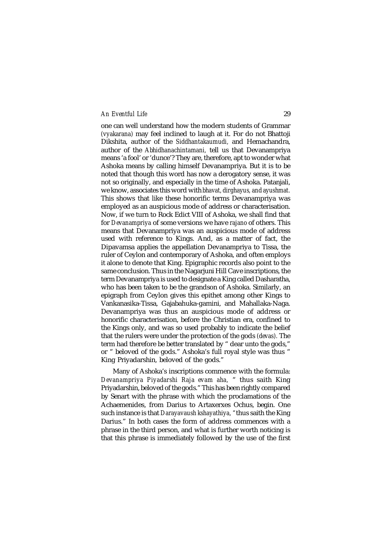one can well understand how the modern students of Grammar *(vyakarana)* may feel inclined to laugh at it. For do not Bhattoji Dikshita, author of the *Siddhantakaumudi,* and Hemachandra, author of the *Abhidhanachintamani,* tell us that Devanampriya means 'a fool' or 'dunce'? They are, therefore, apt to wonder what Ashoka means by calling himself Devanampriya. But it is to be noted that though this word has now a derogatory sense, it was not so originally, and especially in the time of Ashoka. Patanjali, we know, associates this word with *bhavat, dirghayus, and ayushmat.* This shows that like these honorific terms Devanampriya was employed as an auspicious mode of address or characterisation. Now, if we turn to Rock Edict VIII of Ashoka, we shall find that for *Devanampriya* of some versions we have *rajano* of others. This means that Devanampriya was an auspicious mode of address used with reference to Kings. And, as a matter of fact, the Dipavamsa applies the appellation Devanampriya to Tissa, the ruler of Ceylon and contemporary of Ashoka, and often employs it alone to denote that King. Epigraphic records also point to the same conclusion. Thus in the Nagarjuni Hill Cave inscriptions, the term Devanampriya is used to designate a King called Dasharatha, who has been taken to be the grandson of Ashoka. Similarly, an epigraph from Ceylon gives this epithet among other Kings to Vankanasika-Tissa, Gajabahuka-gamini, and Mahallaka-Naga. Devanampriya was thus an auspicious mode of address or honorific characterisation, before the Christian era, confined to the Kings only, and was so used probably to indicate the belief that the rulers were under the protection of the gods *(devas).* The term had therefore be better translated by " dear unto the gods," or " beloved of the gods." Ashoka's full royal style was thus " King Priyadarshin, beloved of the gods."

Many of Ashoka's inscriptions commence with the formula: *Devanampriya Piyadarshi Raja evam aha,* " thus saith King Priyadarshin, beloved of the gods." This has been rightly compared by Senart with the phrase with which the proclamations of the Achaemenides, from Darius to Artaxerxes Ochus, begin. One such instance is that *Darayavaush kshayathiya, "*thus saith the King Darius." In both cases the form of address commences with a phrase in the third person, and what is further worth noticing is that this phrase is immediately followed by the use of the first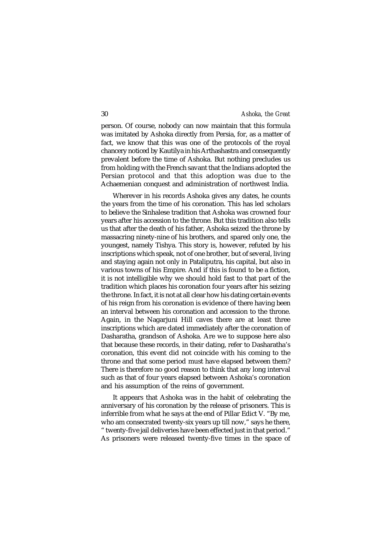person. Of course, nobody can now maintain that this formula was imitated by Ashoka directly from Persia, for, as a matter of fact, we know that this was one of the protocols of the royal chancery noticed by Kautilya in his Arthashastra and consequently prevalent before the time of Ashoka. But nothing precludes us from holding with the French savant that the Indians adopted the Persian protocol and that this adoption was due to the Achaemenian conquest and administration of northwest India.

Wherever in his records Ashoka gives any dates, he counts the years from the time of his coronation. This has led scholars to believe the Sinhalese tradition that Ashoka was crowned four years after his accession to the throne. But this tradition also tells us that after the death of his father, Ashoka seized the throne by massacring ninety-nine of his brothers, and spared only one, the youngest, namely Tishya. This story is, however, refuted by his inscriptions which speak, not of one brother, but of several, living and staying again not only in Pataliputra, his capital, but also in various towns of his Empire. And if this is found to be a fiction, it is not intelligible why we should hold fast to that part of the tradition which places his coronation four years after his seizing the throne. In fact, it is not at all clear how his dating certain events of his reign from his coronation is evidence of there having been an interval between his coronation and accession to the throne. Again, in the Nagarjuni Hill caves there are at least three inscriptions which are dated immediately after the coronation of Dasharatha, grandson of Ashoka. Are we to suppose here also that because these records, in their dating, refer to Dasharatha's coronation, this event did not coincide with his coming to the throne and that some period must have elapsed between them? There is therefore no good reason to think that any long interval such as that of four years elapsed between Ashoka's coronation and his assumption of the reins of government.

It appears that Ashoka was in the habit of celebrating the anniversary of his coronation by the release of prisoners. This is inferrible from what he says at the end of Pillar Edict V. "By me, who am consecrated twenty-six years up till now," says he there, " twenty-five jail deliveries have been effected just in that period." As prisoners were released twenty-five times in the space of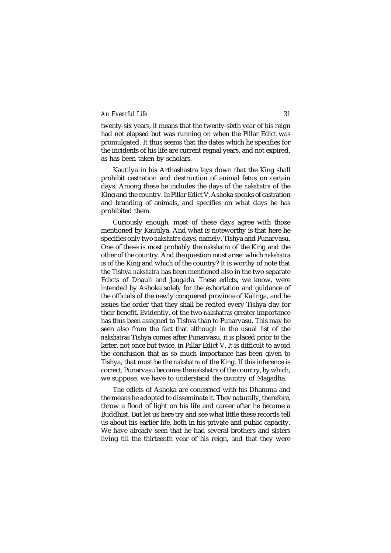twenty-six years, it means that the twenty-sixth year of his reign had not elapsed but was running on when the Pillar Edict was promulgated. It thus seems that the dates which he specifies for the incidents of his life are current regnal years, and not expired, as has been taken by scholars.

Kautilya in his Arthashastra lays down that the King shall prohibit castration and destruction of animal fetus on certain days. Among these he includes the days of the *nakshatra* of the King and the country. In Pillar Edict V, Ashoka speaks of castration and branding of animals, and specifies on what days he has prohibited them.

Curiously enough, most of these days agree with those mentioned by Kautilya. And what is noteworthy is that here he specifies only two *nakshatra* days, namely, Tishya and Punarvasu. One of these is most probably the *nakshatra* of the King and the other of the country. And the question must arise: which *nakshatra* is of the King and which of the country? It is worthy of note that the Tishya *nakshatra* has been mentioned also in the two separate Edicts of Dhauli and Jaugada. These edicts, we know, were intended by Ashoka solely for the exhortation and guidance of the officials of the newly conquered province of Kalinga, and he issues the order that they shall be recited every Tishya day for their benefit. Evidently, of the two *nakshatras* greater importance has thus been assigned to Tishya than to Punarvasu. This may be seen also from the fact that although in the usual list of the *nakshatras* Tishya comes after Punarvasu, it is placed prior to the latter, not once but twice, in Pillar Edict V. It is difficult to avoid the conclusion that as so much importance has been given to Tishya, that must be the *nakshatra* of the King. If this inference is correct, Punarvasu becomes the *nakshatra* of the country, by which, we suppose, we have to understand the country of Magadha.

The edicts of Ashoka are concerned with his Dhamma and the means he adopted to disseminate it. They naturally, therefore, throw a flood of light on his life and career after he became a Buddhist. But let us here try and see what little these records tell us about his earlier life, both in his private and public capacity. We have already seen that he had several brothers and sisters living till the thirteenth year of his reign, and that they were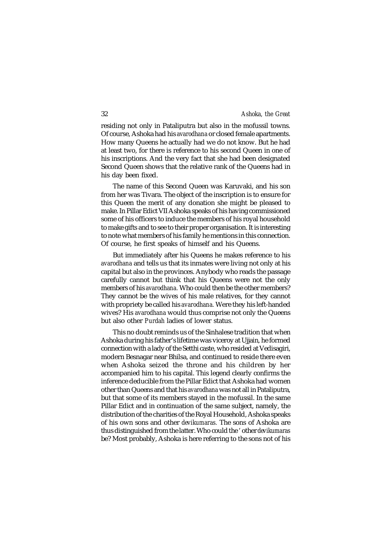residing not only in Pataliputra but also in the mofussil towns. Of course, Ashoka had his *avarodhana* or closed female apartments. How many Queens he actually had we do not know. But he had at least two, for there is reference to his second Queen in one of his inscriptions. And the very fact that she had been designated Second Queen shows that the relative rank of the Queens had in his day been fixed.

The name of this Second Queen was Karuvaki, and his son from her was Tivara. The object of the inscription is to ensure for this Queen the merit of any donation she might be pleased to make. In Pillar Edict VII Ashoka speaks of his having commissioned some of his officers to induce the members of his royal household to make gifts and to see to their proper organisation. It is interesting to note what members of his family he mentions in this connection. Of course, he first speaks of himself and his Queens.

But immediately after his Queens he makes reference to his *avarodhana* and tells us that its inmates were living not only at his capital but also in the provinces. Anybody who reads the passage carefully cannot but think that his Queens were not the only members of his *avarodhana.* Who could then be the other members? They cannot be the wives of his male relatives, for they cannot with propriety be called his *avarodhana.* Were they his left-handed wives? His *avarodhana* would thus comprise not only the Queens but also other *Purdah* ladies of lower status.

This no doubt reminds us of the Sinhalese tradition that when Ashoka during his father's lifetime was viceroy at Ujjain, he formed connection with a lady of the Setthi caste, who resided at Vedisagiri, modern Besnagar near Bhilsa, and continued to reside there even when Ashoka seized the throne and his children by her accompanied him to his capital. This legend clearly confirms the inference deducible from the Pillar Edict that Ashoka had women other than Queens and that his *avarodhana* was not all in Pataliputra, but that some of its members stayed in the mofussil. In the same Pillar Edict and in continuation of the same subject, namely, the distribution of the charities of the Royal Household, Ashoka speaks of his own sons and other *devikumaras.* The sons of Ashoka are thus distinguished from the latter. Who could the ' other *devikumaras* be? Most probably, Ashoka is here referring to the sons not of his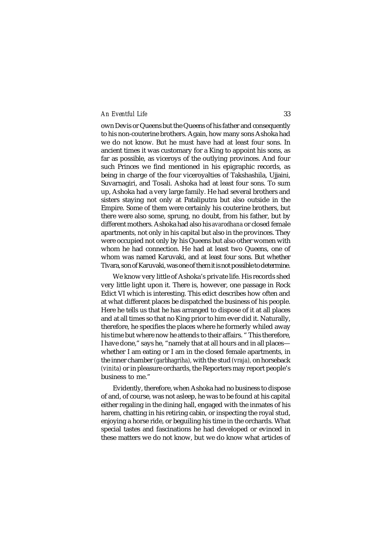own Devis or Queens but the Queens of his father and consequently to his non-couterine brothers. Again, how many sons Ashoka had we do not know. But he must have had at least four sons. In ancient times it was customary for a King to appoint his sons, as far as possible, as viceroys of the outlying provinces. And four such Princes we find mentioned in his epigraphic records, as being in charge of the four viceroyalties of Takshashila, Ujjaini, Suvarnagiri, and Tosali. Ashoka had at least four sons. To sum up, Ashoka had a very large family. He had several brothers and sisters staying not only at Pataliputra but also outside in the Empire. Some of them were certainly his couterine brothers, but there were also some, sprung, no doubt, from his father, but by different mothers. Ashoka had also his *avarodhana* or closed female apartments, not only in his capital but also in the provinces. They were occupied not only by his Queens but also other women with whom he had connection. He had at least two Queens, one of whom was named Karuvaki, and at least four sons. But whether Tivara, son of Karuvaki, was one of them it is not possible to determine.

We know very little of Ashoka's private life. His records shed very little light upon it. There is, however, one passage in Rock Edict VI which is interesting. This edict describes how often and at what different places be dispatched the business of his people. Here he tells us that he has arranged to dispose of it at all places and at all times so that no King prior to him ever did it. Naturally, therefore, he specifies the places where he formerly whiled away his time but where now he attends to their affairs. " This therefore, I have done," says he, "namely that at all hours and in all places whether I am eating or I am in the closed female apartments, in the inner chamber *(garbhagriha),* with the stud *(vraja),* on horseback *(vinita)* or in pleasure orchards, the Reporters may report people's business to me."

Evidently, therefore, when Ashoka had no business to dispose of and, of course, was not asleep, he was to be found at his capital either regaling in the dining hall, engaged with the inmates of his harem, chatting in his retiring cabin, or inspecting the royal stud, enjoying a horse ride, or beguiling his time in the orchards. What special tastes and fascinations he had developed or evinced in these matters we do not know, but we do know what articles of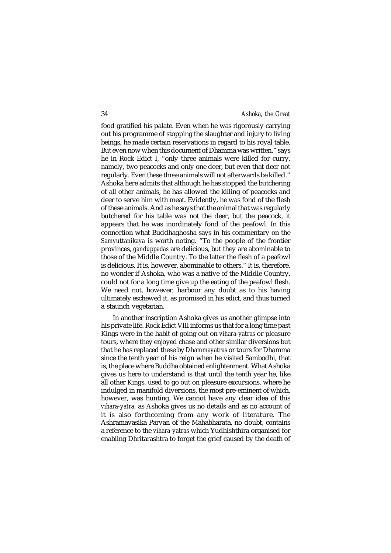food gratified his palate. Even when he was rigorously carrying out his programme of stopping the slaughter and injury to living beings, he made certain reservations in regard to his royal table. But even now when this document of Dhamma was written," says he in Rock Edict I, "only three animals were killed for curry, namely, two peacocks and only one deer, but even that deer not regularly. Even these three animals will not afterwards be killed." Ashoka here admits that although he has stopped the butchering of all other animals, he has allowed the killing of peacocks and deer to serve him with meat. Evidently, he was fond of the flesh of these animals. And as he says that the animal that was regularly butchered for his table was not the deer, but the peacock, it appears that he was inordinately fond of the peafowl. In this connection what Buddhaghosha says in his commentary on the *Samyuttanikaya* is worth noting. "To the people of the frontier provinces, *ganduppadas* are delicious, but they are abominable to those of the Middle Country. To the latter the flesh of a peafowl is delicious. It is, however, abominable to others." It is, therefore, no wonder if Ashoka, who was a native of the Middle Country, could not for a long time give up the eating of the peafowl flesh. We need not, however, harbour any doubt as to his having ultimately eschewed it, as promised in his edict, and thus turned a staunch vegetarian.

In another inscription Ashoka gives us another glimpse into his private life. Rock Edict VIII informs us that for a long time past Kings were in the habit of going out on *vihara-yatras* or pleasure tours, where they enjoyed chase and other similar diversions but that he has replaced these by *Dhammayatras* or tours for Dhamma since the tenth year of his reign when he visited Sambodhi, that is, the place where Buddha obtained enlightenment. What Ashoka gives us here to understand is that until the tenth year he, like all other Kings, used to go out on pleasure excursions, where he indulged in manifold diversions, the most pre-eminent of which, however, was hunting. We cannot have any clear idea of this *vihara-yatra,* as Ashoka gives us no details and as no account of it is also forthcoming from any work of literature. The Ashramavasika Parvan of the Mahabharata, no doubt, contains a reference to the *vihara-yatras* which Yudhishthira organised for enabling Dhritarashtra to forget the grief caused by the death of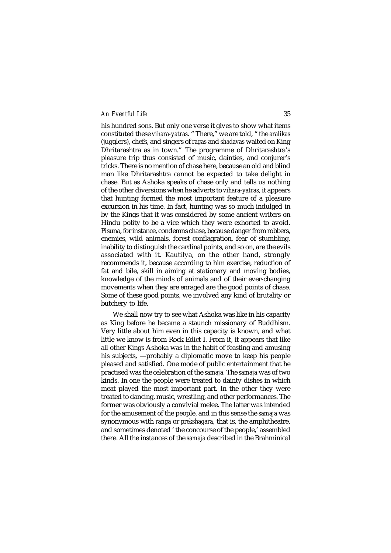his hundred sons. But only one verse it gives to show what items constituted these *vihara-yatras.* " There," we are told, " the *aralikas* (jugglers), chefs, and singers of *ragas* and *shadavas* waited on King Dhritarashtra as in town." The programme of Dhritarashtra's pleasure trip thus consisted of music, dainties, and conjurer's tricks. There is no mention of chase here, because an old and blind man like Dhritarashtra cannot be expected to take delight in chase. But as Ashoka speaks of chase only and tells us nothing of the other diversions when he adverts to *vihara-yatras,* it appears that hunting formed the most important feature of a pleasure excursion in his time. In fact, hunting was so much indulged in by the Kings that it was considered by some ancient writers on Hindu polity to be a vice which they were exhorted to avoid. Pisuna, for instance, condemns chase, because danger from robbers, enemies, wild animals, forest conflagration, fear of stumbling, inability to distinguish the cardinal points, and so on, are the evils associated with it. Kautilya, on the other hand, strongly recommends it, because according to him exercise, reduction of fat and bile, skill in aiming at stationary and moving bodies, knowledge of the minds of animals and of their ever-changing movements when they are enraged are the good points of chase. Some of these good points, we involved any kind of brutality or butchery to life.

We shall now try to see what Ashoka was like in his capacity as King before he became a staunch missionary of Buddhism. Very little about him even in this capacity is known, and what little we know is from Rock Edict I. From it, it appears that like all other Kings Ashoka was in the habit of feasting and amusing his subjects, —probably a diplomatic move to keep his people pleased and satisfied. One mode of public entertainment that he practised was the celebration of the *samaja.* The *samaja* was of two kinds. In one the people were treated to dainty dishes in which meat played the most important part. In the other they were treated to dancing, music, wrestling, and other performances. The former was obviously a convivial melee. The latter was intended for the amusement of the people, and in this sense the *samaja* was synonymous with *ranga* or *prekshagara,* that is, the amphitheatre, and sometimes denoted ' the concourse of the people,' assembled there. All the instances of the *samaja* described in the Brahminical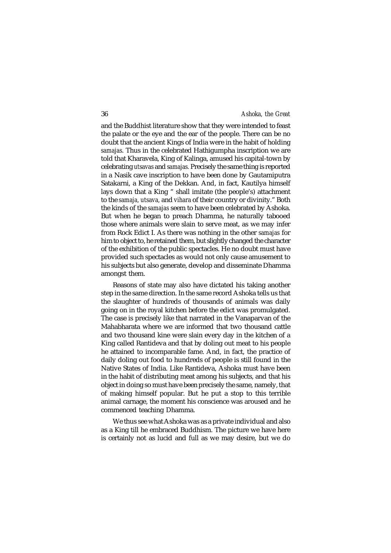and the Buddhist literature show that they were intended to feast the palate or the eye and the ear of the people. There can be no doubt that the ancient Kings of India were in the habit of holding *samajas.* Thus in the celebrated Hathigumpha inscription we are told that Kharavela, King of Kalinga, amused his capital-town by celebrating *utsavas* and *samajas.* Precisely the same thing is reported in a Nasik cave inscription to have been done by Gautamiputra Satakarni, a King of the Dekkan. And, in fact, Kautilya himself lays down that a King " shall imitate (the people's) attachment to the *samaja, utsava,* and *vihara* of their country or divinity." Both the kinds of the *samajas* seem to have been celebrated by Ashoka. But when he began to preach Dhamma, he naturally tabooed those where animals were slain to serve meat, as we may infer from Rock Edict I. As there was nothing in the other *samajas* for him to object to, he retained them, but slightly changed the character of the exhibition of the public spectacles. He no doubt must have provided such spectacles as would not only cause amusement to his subjects but also generate, develop and disseminate Dhamma amongst them.

Reasons of state may also have dictated his taking another step in the same direction. In the same record Ashoka tells us that the slaughter of hundreds of thousands of animals was daily going on in the royal kitchen before the edict was promulgated. The case is precisely like that narrated in the Vanaparvan of the Mahabharata where we are informed that two thousand cattle and two thousand kine were slain every day in the kitchen of a King called Rantideva and that by doling out meat to his people he attained to incomparable fame. And, in fact, the practice of daily doling out food to hundreds of people is still found in the Native States of India. Like Rantideva, Ashoka must have been in the habit of distributing meat among his subjects, and that his object in doing so must have been precisely the same, namely, that of making himself popular. But he put a stop to this terrible animal carnage, the moment his conscience was aroused and he commenced teaching Dhamma.

We thus see what Ashoka was as a private individual and also as a King till he embraced Buddhism. The picture we have here is certainly not as lucid and full as we may desire, but we do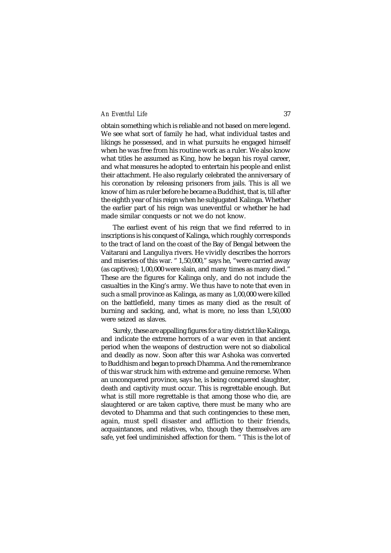obtain something which is reliable and not based on mere legend. We see what sort of family he had, what individual tastes and likings he possessed, and in what pursuits he engaged himself when he was free from his routine work as a ruler. We also know what titles he assumed as King, how he began his royal career, and what measures he adopted to entertain his people and enlist their attachment. He also regularly celebrated the anniversary of his coronation by releasing prisoners from jails. This is all we know of him as ruler before he became a Buddhist, that is, till after the eighth year of his reign when he subjugated Kalinga. Whether the earlier part of his reign was uneventful or whether he had made similar conquests or not we do not know.

The earliest event of his reign that we find referred to in inscriptions is his conquest of Kalinga, which roughly corresponds to the tract of land on the coast of the Bay of Bengal between the Vaitarani and Languliya rivers. He vividly describes the horrors and miseries of this war. " 1,50,000," says he, "were carried away (as captives); 1,00,000 were slain, and many times as many died." These are the figures for Kalinga only, and do not include the casualties in the King's army. We thus have to note that even in such a small province as Kalinga, as many as 1,00,000 were killed on the battlefield, many times as many died as the result of burning and sacking, and, what is more, no less than 1,50,000 were seized as slaves.

Surely, these are appalling figures for a tiny district like Kalinga, and indicate the extreme horrors of a war even in that ancient period when the weapons of destruction were not so diabolical and deadly as now. Soon after this war Ashoka was converted to Buddhism and began to preach Dhamma. And the remembrance of this war struck him with extreme and genuine remorse. When an unconquered province, says he, is being conquered slaughter, death and captivity must occur. This is regrettable enough. But what is still more regrettable is that among those who die, are slaughtered or are taken captive, there must be many who are devoted to Dhamma and that such contingencies to these men, again, must spell disaster and affliction to their friends, acquaintances, and relatives, who, though they themselves are safe, yet feel undiminished affection for them. " This is the lot of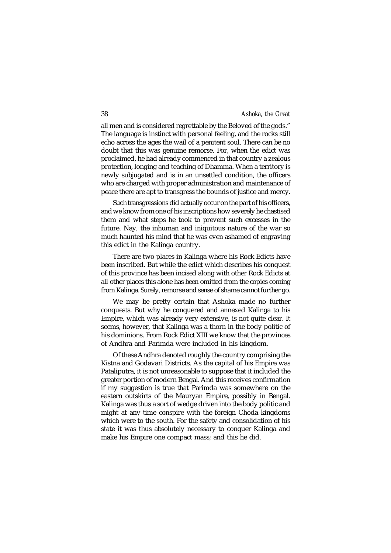all men and is considered regrettable by the Beloved of the gods." The language is instinct with personal feeling, and the rocks still echo across the ages the wail of a penitent soul. There can be no doubt that this was genuine remorse. For, when the edict was proclaimed, he had already commenced in that country a zealous protection, longing and teaching of Dhamma. When a territory is newly subjugated and is in an unsettled condition, the officers who are charged with proper administration and maintenance of peace there are apt to transgress the bounds of justice and mercy.

Such transgressions did actually occur on the part of his officers, and we know from one of his inscriptions how severely he chastised them and what steps he took to prevent such excesses in the future. Nay, the inhuman and iniquitous nature of the war so much haunted his mind that he was even ashamed of engraving this edict in the Kalinga country.

There are two places in Kalinga where his Rock Edicts have been inscribed. But while the edict which describes his conquest of this province has been incised along with other Rock Edicts at all other places this alone has been omitted from the copies coming from Kalinga. Surely, remorse and sense of shame cannot further go.

We may be pretty certain that Ashoka made no further conquests. But why he conquered and annexed Kalinga to his Empire, which was already very extensive, is not quite clear. It seems, however, that Kalinga was a thorn in the body politic of his dominions. From Rock Edict XIII we know that the provinces of Andhra and Parimda were included in his kingdom.

Of these Andhra denoted roughly the country comprising the Kistna and Godavari Districts. As the capital of his Empire was Pataliputra, it is not unreasonable to suppose that it included the greater portion of modern Bengal. And this receives confirmation if my suggestion is true that Parimda was somewhere on the eastern outskirts of the Mauryan Empire, possibly in Bengal. Kalinga was thus a sort of wedge driven into the body politic and might at any time conspire with the foreign Choda kingdoms which were to the south. For the safety and consolidation of his state it was thus absolutely necessary to conquer Kalinga and make his Empire one compact mass; and this he did.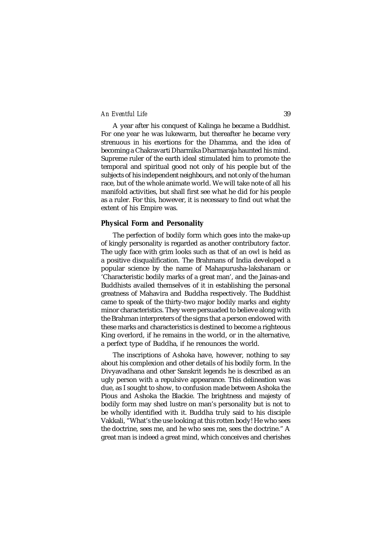A year after his conquest of Kalinga he became a Buddhist. For one year he was lukewarm, but thereafter he became very strenuous in his exertions for the Dhamma, and the idea of becoming a Chakravarti Dharmika Dharmaraja haunted his mind. Supreme ruler of the earth ideal stimulated him to promote the temporal and spiritual good not only of his people but of the subjects of his independent neighbours, and not only of the human race, but of the whole animate world. We will take note of all his manifold activities, but shall first see what he did for his people as a ruler. For this, however, it is necessary to find out what the extent of his Empire was.

#### **Physical Form and Personality**

The perfection of bodily form which goes into the make-up of kingly personality is regarded as another contributory factor. The ugly face with grim looks such as that of an owl is held as a positive disqualification. The Brahmans of India developed a popular science by the name of Mahapurusha-lakshanam or 'Characteristic bodily marks of a great man', and the Jainas-and Buddhists availed themselves of it in establishing the personal greatness of Mahavira and Buddha respectively. The Buddhist came to speak of the thirty-two major bodily marks and eighty minor characteristics. They were persuaded to believe along with the Brahman interpreters of the signs that a person endowed with these marks and characteristics is destined to become a righteous King overlord, if he remains in the world, or in the alternative, a perfect type of Buddha, if he renounces the world.

The inscriptions of Ashoka have, however, nothing to say about his complexion and other details of his bodily form. In the Divyavadhana and other Sanskrit legends he is described as an ugly person with a repulsive appearance. This delineation was due, as I sought to show, to confusion made between Ashoka the Pious and Ashoka the Blackie. The brightness and majesty of bodily form may shed lustre on man's personality but is not to be wholly identified with it. Buddha truly said to his disciple Vakkali, "What's the use looking at this rotten body! He who sees the doctrine, sees me, and he who sees me, sees the doctrine." A great man is indeed a great mind, which conceives and cherishes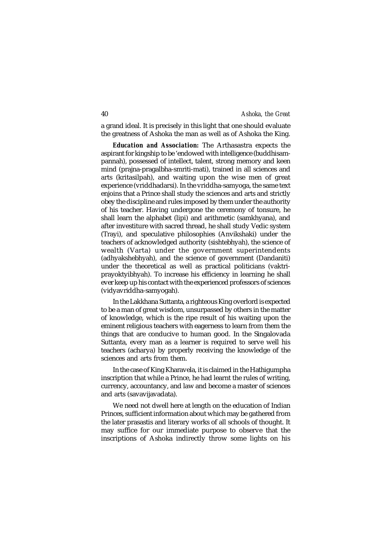a grand ideal. It is precisely in this light that one should evaluate the greatness of Ashoka the man as well as of Ashoka the King.

*Education and Association:* The Arthasastra expects the aspirant for kingship to be 'endowed with intelligence (buddhisampannah), possessed of intellect, talent, strong memory and keen mind (prajna-pragalbha-smriti-mati), trained in all sciences and arts (kritasilpah), and waiting upon the wise men of great experience (vriddhadarsi). In the vriddha-samyoga, the same text enjoins that a Prince shall study the sciences and arts and strictly obey the discipline and rules imposed by them under the authority of his teacher. Having undergone the ceremony of tonsure, he shall learn the alphabet (lipi) and arithmetic (samkhyana), and after investiture with sacred thread, he shall study Vedic system (Trayi), and speculative philosophies (Anvikshaki) under the teachers of acknowledged authority (sishtebhyah), the science of wealth (Varta) under the government superintendents (adhyakshebhyah), and the science of government (Dandaniti) under the theoretical as well as practical politicians (vaktriprayoktyibhyah). To increase his efficiency in learning he shall ever keep up his contact with the experienced professors of sciences (vidyavriddha-samyogah).

In the Lakkhana Suttanta, a righteous King overlord is expected to be a man of great wisdom, unsurpassed by others in the matter of knowledge, which is the ripe result of his waiting upon the eminent religious teachers with eagerness to learn from them the things that are conducive to human good. In the Singalovada Suttanta, every man as a learner is required to serve well his teachers (acharya) by properly receiving the knowledge of the sciences and arts from them.

In the case of King Kharavela, it is claimed in the Hathigumpha inscription that while a Prince, he had learnt the rules of writing, currency, accountancy, and law and become a master of sciences and arts (savavijavadata).

We need not dwell here at length on the education of Indian Princes, sufficient information about which may be gathered from the later prasastis and literary works of all schools of thought. It may suffice for our immediate purpose to observe that the inscriptions of Ashoka indirectly throw some lights on his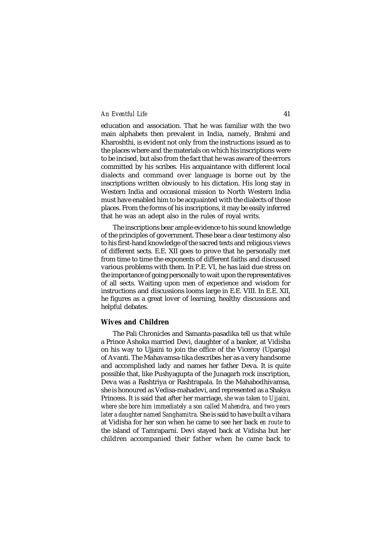education and association. That he was familiar with the two main alphabets then prevalent in India, namely, Brahmi and Kharoshthi, is evident not only from the instructions issued as to the places where and the materials on which his inscriptions were to be incised, but also from the fact that he was aware of the errors committed by his scribes. His acquaintance with different local dialects and command over language is borne out by the inscriptions written obviously to his dictation. His long stay in Western India and occasional mission to North Western India must have enabled him to be acquainted with the dialects of those places. From the forms of his inscriptions, it may be easily inferred that he was an adept also in the rules of royal writs.

The inscriptions bear ample evidence to his sound knowledge of the principles of government. These bear a clear testimony also to his first-hand knowledge of the sacred texts and religious views of different sects. E.E. XII goes to prove that he personally met from time to time the exponents of different faiths and discussed various problems with them. In P.E. VI, he has laid due stress on the importance of going personally to wait upon the representatives of all sects. Waiting upon men of experience and wisdom for instructions and discussions looms large in E.E. VIII. In E.E. XII, he figures as a great lover of learning, healthy discussions and helpful debates.

# **Wives and Children**

The Pali Chronicles and Samanta-pasadika tell us that while a Prince Ashoka married Devi, daughter of a banker, at Vidisha on his way to Ujjaini to join the office of the Viceroy (Uparaja) of Avanti. The Mahavamsa-tika describes her as a very handsome and accomplished lady and names her father Deva. It is quite possible that, like Pushyagupta of the Junagarh rock inscription, Deva was a Rashtriya or Rashtrapala. In the Mahabodhivamsa, she is honoured as Vedisa-mahadevi, and represented as a Shakya Princess. It is said that after her marriage, *she was taken to Ujjaini, where she bore him immediately a son called Mahendra, and two years later a daughter named Sanghamitra.* She is said to have built a vihara at Vidisha for her son when he came to see her back *en route* to the island of Tamraparni. Devi stayed back at Vidisha but her children accompanied their father when he came back to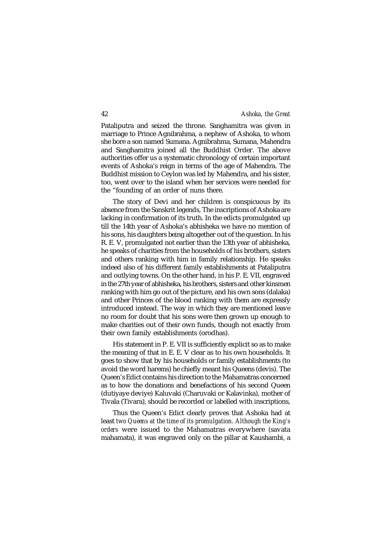Pataliputra and seized the throne. Sanghamitra was given in marriage to Prince Agnibrahma, a nephew of Ashoka, to whom she bore a son named Sumana. Agnibrahma, Sumana, Mahendra and Sanghamitra joined all the Buddhist Order. The above authorities offer us a systematic chronology of certain important events of Ashoka's reign in terms of the age of Mahendra. The Buddhist mission to Ceylon was led by Mahendra, and his sister, too, went over to the island when her services were needed for the "founding of an order of nuns there.

The story of Devi and her children is conspicuous by its absence from the Sanskrit legends, The inscriptions of Ashoka are lacking in confirmation of its truth. In the edicts promulgated up till the 14th year of Ashoka's abhisheka we have no mention of his sons, his daughters being altogether out of the question. In his R. E. V, promulgated not earlier than the 13th year of abhisheka, he speaks of charities from the households of his brothers, sisters and others ranking with him in family relationship. He speaks indeed also of his different family establishments at Pataliputra and outlying towns. On the other hand, in his P. E. VII, engraved in the 27th year of abhisheka, his brothers, sisters and other kinsmen ranking with him go out of the picture, and his own sons (dalaka) and other Princes of the blood ranking with them are expressly introduced instead. The way in which they are mentioned leave no room for doubt that his sons were then grown up enough to make charities out of their own funds, though not exactly from their own family establishments (orodhas).

His statement in P. E. VII is sufficiently explicit so as to make the meaning of that in E. E. V clear as to his own households. It goes to show that by his households or family establishments (to avoid the word harems) he chiefly meant his Queens (devis). The Queen's Edict contains his direction to the Mahamatras concerned as to how the donations and benefactions of his second Queen (dutiyaye deviye) Kaluvaki (Charuvaki or Kalavinka), mother of Tivala (Tivara), should be recorded or labelled with inscriptions,

Thus the Queen's Edict clearly proves that Ashoka had at least *two Queens at the time of its promulgation. Although the King's orders* were issued to the Mahamatras everywhere (savata mahamata), it was engraved only on the pillar at Kaushambi, a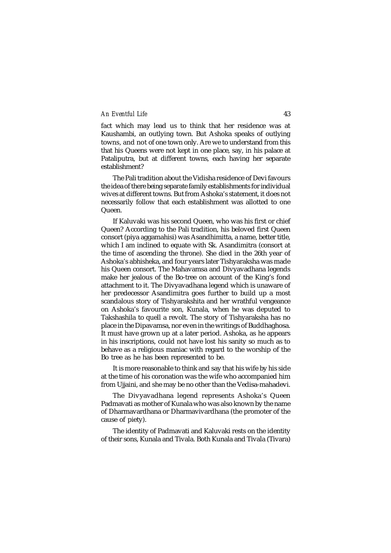fact which may lead us to think that her residence was at Kaushambi, an outlying town. But Ashoka speaks of outlying towns, and not of one town only. Are we to understand from this that his Queens were not kept in one place, say, in his palace at Pataliputra, but at different towns, each having her separate establishment?

The Pali tradition about the Vidisha residence of Devi favours the idea of there being separate family establishments for individual wives at different towns. But from Ashoka's statement, it does not necessarily follow that each establishment was allotted to one Queen.

If Kaluvaki was his second Queen, who was his first or chief Queen? According to the Pali tradition, his beloved first Queen consort (piya aggamahisi) was Asandhimitta, a name, better title, which I am inclined to equate with Sk. Asandimitra (consort at the time of ascending the throne). She died in the 26th year of Ashoka's abhisheka, and four years later Tishyaraksha was made his Queen consort. The Mahavamsa and Divyavadhana legends make her jealous of the Bo-tree on account of the King's fond attachment to it. The Divyavadhana legend which is unaware of her predecessor Asandimitra goes further to build up a most scandalous story of Tishyarakshita and her wrathful vengeance on Ashoka's favourite son, Kunala, when he was deputed to Takshashila to quell a revolt. The story of Tishyaraksha has no place in the Dipavamsa, nor even in the writings of Buddhaghosa. It must have grown up at a later period. Ashoka, as he appears in his inscriptions, could not have lost his sanity so much as to behave as a religious maniac with regard to the worship of the Bo tree as he has been represented to be.

It is more reasonable to think and say that his wife by his side at the time of his coronation was the wife who accompanied him from Ujjaini, and she may be no other than the Vedisa-mahadevi.

The Divyavadhana legend represents Ashoka's Queen Padmavati as mother of Kunala who was also known by the name of Dharmavardhana or Dharmavivardhana (the promoter of the cause of piety).

The identity of Padmavati and Kaluvaki rests on the identity of their sons, Kunala and Tivala. Both Kunala and Tivala (Tivara)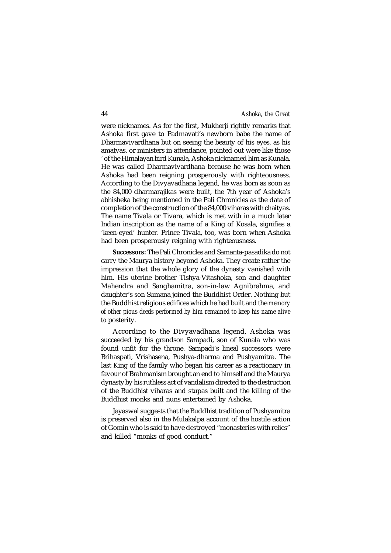were nicknames. As for the first, Mukherji rightly remarks that Ashoka first gave to Padmavati's newborn babe the name of Dharmavivardhana but on seeing the beauty of his eyes, as his amatyas, or ministers in attendance, pointed out were like those ' of the Himalayan bird Kunala, Ashoka nicknamed him as Kunala. He was called Dharmavivardhana because he was born when Ashoka had been reigning prosperously with righteousness. According to the Divyavadhana legend, he was born as soon as the 84,000 dharmarajikas were built, the 7th year of Ashoka's abhisheka being mentioned in the Pali Chronicles as the date of completion of the construction of the 84,000 viharas with chaityas. The name Tivala or Tivara, which is met with in a much later Indian inscription as the name of a King of Kosala, signifies a 'keen-eyed' hunter. Prince Tivala, too, was born when Ashoka had been prosperously reigning with righteousness.

*Successors:* The Pali Chronicles and Samanta-pasadika do not carry the Maurya history beyond Ashoka. They create rather the impression that the whole glory of the dynasty vanished with him. His uterine brother Tishya-Vitashoka, son and daughter Mahendra and Sanghamitra, son-in-law Agnibrahma, and daughter's son Sumana joined the Buddhist Order. Nothing but the Buddhist religious edifices which he had built and the *memory of other pious deeds performed by him remained to keep his name alive to* posterity.

According to the Divyavadhana legend, Ashoka was succeeded by his grandson Sampadi, son of Kunala who was found unfit for the throne. Sampadi's lineal successors were Brihaspati, Vrishasena, Pushya-dharma and Pushyamitra. The last King of the family who began his career as a reactionary in favour of Brahmanism brought an end to himself and the Maurya dynasty by his ruthless act of vandalism directed to the destruction of the Buddhist viharas and stupas built and the killing of the Buddhist monks and nuns entertained by Ashoka.

Jayaswal suggests that the Buddhist tradition of Pushyamitra is preserved also in the Mulakalpa account of the hostile action of Gomin who is said to have destroyed "monasteries with relics" and killed "monks of good conduct."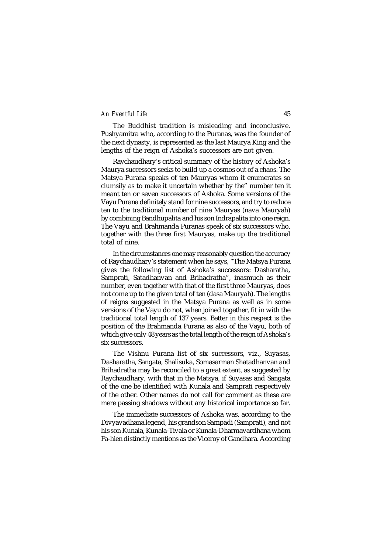The Buddhist tradition is misleading and inconclusive. Pushyamitra who, according to the Puranas, was the founder of the next dynasty, is represented as the last Maurya King and the lengths of the reign of Ashoka's successors are not given.

Raychaudhary's critical summary of the history of Ashoka's Maurya successors seeks to build up a cosmos out of a chaos. The Matsya Purana speaks of ten Mauryas whom it enumerates so clumsily as to make it uncertain whether by the" number ten it meant ten or seven successors of Ashoka. Some versions of the Vayu Purana definitely stand for nine successors, and try to reduce ten to the traditional number of nine Mauryas (nava Mauryah) by combining Bandhupalita and his son Indrapalita into one reign. The Vayu and Brahmanda Puranas speak of six successors who, together with the three first Mauryas, make up the traditional total of nine.

In the circumstances one may reasonably question the accuracy of Raychaudhary's statement when he says, "The Matsya Purana gives the following list of Ashoka's successors: Dasharatha, Samprati, Satadhanvan and Brihadratha", inasmuch as their number, even together with that of the first three Mauryas, does not come up to the given total of ten (dasa Mauryah). The lengths of reigns suggested in the Matsya Purana as well as in some versions of the Vayu do not, when joined together, fit in with the traditional total length of 137 years. Better in this respect is the position of the Brahmanda Purana as also of the Vayu, both of which give only 48 years as the total length of the reign of Ashoka's six successors.

The Vishnu Purana list of six successors, viz., Suyasas, Dasharatha, Sangata, Shalisuka, Somasarman Shatadhanvan and Brihadratha may be reconciled to a great extent, as suggested by Raychaudhary, with that in the Matsya, if Suyasas and Sangata of the one be identified with Kunala and Samprati respectively of the other. Other names do not call for comment as these are mere passing shadows without any historical importance so far.

The immediate successors of Ashoka was, according to the Divyavadhana legend, his grandson Sampadi (Samprati), and not his son Kunala, Kunala-Tivala or Kunala-Dharmavardhana whom Fa-hien distinctly mentions as the Viceroy of Gandhara. According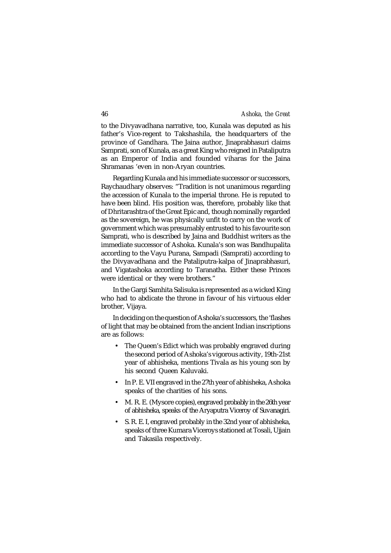to the Divyavadhana narrative, too, Kunala was deputed as his father's Vice-regent to Takshashila, the headquarters of the province of Gandhara. The Jaina author, Jinaprabhasuri claims Samprati, son of Kunala, as a great King who reigned in Pataliputra as an Emperor of India and founded viharas for the Jaina Shramanas 'even in non-Aryan countries.

Regarding Kunala and his immediate successor or successors, Raychaudhary observes: "Tradition is not unanimous regarding the accession of Kunala to the imperial throne. He is reputed to have been blind. His position was, therefore, probably like that of Dhritarashtra of the Great Epic and, though nominally regarded as the sovereign, he was physically unfit to carry on the work of government which was presumably entrusted to his favourite son Samprati, who is described by Jaina and Buddhist writers as the immediate successor of Ashoka. Kunala's son was Bandhupalita according to the Vayu Purana, Sampadi (Samprati) according to the Divyavadhana and the Pataliputra-kalpa of Jinaprabhasuri, and Vigatashoka according to Taranatha. Either these Princes were identical or they were brothers."

In the Gargi Samhita Salisuka is represented as a wicked King who had to abdicate the throne in favour of his virtuous elder brother, Vijaya.

In deciding on the question of Ashoka's successors, the 'flashes of light that may be obtained from the ancient Indian inscriptions are as follows:

- The Queen's Edict which was probably engraved during the second period of Ashoka's vigorous activity, 19th-21st year of abhisheka, mentions Tivala as his young son by his second Queen Kaluvaki.
- In P. E. VII engraved in the 27th year of abhisheka, Ashoka speaks of the charities of his sons.
- M. R. E. (Mysore copies), engraved probably in the 26th year of abhisheka, speaks of the Aryaputra Viceroy of Suvanagiri.
- S. R. E. I, engraved probably in the 32nd year of abhisheka, speaks of three Kumara Viceroys stationed at Tosali, Ujjain and Takasila respectively.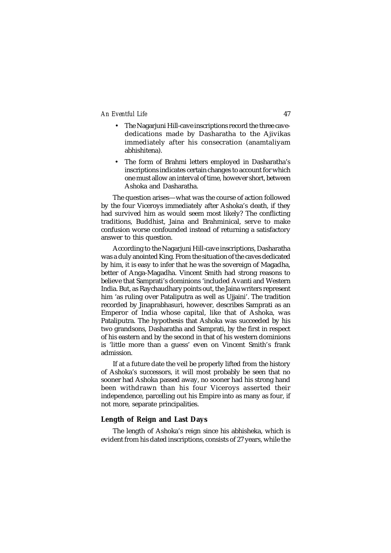- The Nagarjuni Hill-cave inscriptions record the three cavededications made by Dasharatha to the Ajivikas immediately after his consecration (anamtaliyam abhishitena).
- The form of Brahmi letters employed in Dasharatha's inscriptions indicates certain changes to account for which one must allow an interval of time, however short, between Ashoka and Dasharatha.

The question arises—what was the course of action followed by the four Viceroys immediately after Ashoka's death, if they had survived him as would seem most likely? The conflicting traditions, Buddhist, Jaina and Brahminical, serve to make confusion worse confounded instead of returning a satisfactory answer to this question.

According to the Nagarjuni Hill-cave inscriptions, Dasharatha was a duly anointed King. From the situation of the caves dedicated by him, it is easy to infer that he was the sovereign of Magadha, better of Anga-Magadha. Vincent Smith had strong reasons to believe that Samprati's dominions 'included Avanti and Western India. But, as Raychaudhary points out, the Jaina writers represent him 'as ruling over Pataliputra as well as Ujjaini'. The tradition recorded by Jinaprabhasuri, however, describes Samprati as an Emperor of India whose capital, like that of Ashoka, was Pataliputra. The hypothesis that Ashoka was succeeded by his two grandsons, Dasharatha and Samprati, by the first in respect of his eastern and by the second in that of his western dominions is 'little more than a guess' even on Vincent Smith's frank admission.

If at a future date the veil be properly lifted from the history of Ashoka's successors, it will most probably be seen that no sooner had Ashoka passed away, no sooner had his strong hand been withdrawn than his four Viceroys asserted their independence, parcelling out his Empire into as many as four, if not more, separate principalities.

# **Length of Reign and Last Days**

The length of Ashoka's reign since his abhisheka, which is evident from his dated inscriptions, consists of 27 years, while the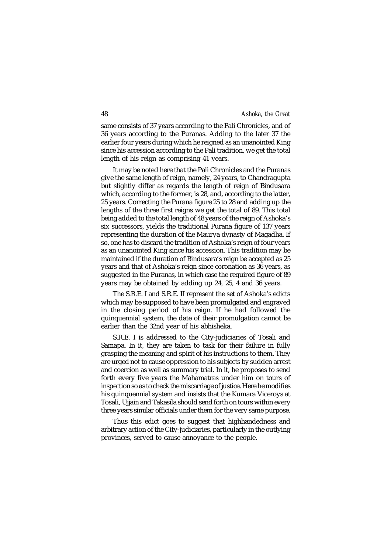same consists of 37 years according to the Pali Chronicles, and of 36 years according to the Puranas. Adding to the later 37 the earlier four years during which he reigned as an unanointed King since his accession according to the Pali tradition, we get the total length of his reign as comprising 41 years.

It may be noted here that the Pali Chronicles and the Puranas give the same length of reign, namely, 24 years, to Chandragupta but slightly differ as regards the length of reign of Bindusara which, according to the former, is 28, and, according to the latter, 25 years. Correcting the Purana figure 25 to 28 and adding up the lengths of the three first reigns we get the total of 89. This total being added to the total length of 48 years of the reign of Ashoka's six successors, yields the traditional Purana figure of 137 years representing the duration of the Maurya dynasty of Magadha. If so, one has to discard the tradition of Ashoka's reign of four years as an unanointed King since his accession. This tradition may be maintained if the duration of Bindusara's reign be accepted as 25 years and that of Ashoka's reign since coronation as 36 years, as suggested in the Puranas, in which case the required figure of 89 years may be obtained by adding up 24, 25, 4 and 36 years.

The S.R.E. I and S.R.E. II represent the set of Ashoka's edicts which may be supposed to have been promulgated and engraved in the closing period of his reign. If he had followed the quinquennial system, the date of their promulgation cannot be earlier than the 32nd year of his abhisheka.

S.R.E. I is addressed to the City-judiciaries of Tosali and Samapa. In it, they are taken to task for their failure in fully grasping the meaning and spirit of his instructions to them. They are urged not to cause oppression to his subjects by sudden arrest and coercion as well as summary trial. In it, he proposes to send forth every five years the Mahamatras under him on tours of inspection so as to check the miscarriage of justice. Here he modifies his quinquennial system and insists that the Kumara Viceroys at Tosali, Ujjain and Takasila should send forth on tours within every three years similar officials under them for the very same purpose.

Thus this edict goes to suggest that highhandedness and arbitrary action of the City-judiciaries, particularly in the outlying provinces, served to cause annoyance to the people.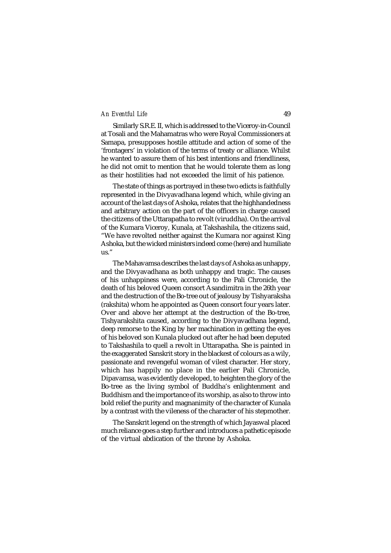Similarly S.R.E. II, which is addressed to the Viceroy-in-Council at Tosali and the Mahamatras who were Royal Commissioners at Samapa, presupposes hostile attitude and action of some of the 'frontagers' in violation of the terms of treaty or alliance. Whilst he wanted to assure them of his best intentions and friendliness, he did not omit to mention that he would tolerate them as long as their hostilities had not exceeded the limit of his patience.

The state of things as portrayed in these two edicts is faithfully represented in the Divyavadhana legend which, while giving an account of the last days of Ashoka, relates that the highhandedness and arbitrary action on the part of the officers in charge caused the citizens of the Uttarapatha to revolt (viruddha). On the arrival of the Kumara Viceroy, Kunala, at Takshashila, the citizens said, "We have revolted neither against the Kumara nor against King Ashoka, but the wicked ministers indeed come (here) and humiliate us."

The Mahavamsa describes the last days of Ashoka as unhappy, and the Divyavadhana as both unhappy and tragic. The causes of his unhappiness were, according to the Pali Chronicle, the death of his beloved Queen consort Asandimitra in the 26th year and the destruction of the Bo-tree out of jealousy by Tishyaraksha (rakshita) whom he appointed as Queen consort four years later. Over and above her attempt at the destruction of the Bo-tree, Tishyarakshita caused, according to the Divyavadhana legend, deep remorse to the King by her machination in getting the eyes of his beloved son Kunala plucked out after he had been deputed to Takshashila to quell a revolt in Uttarapatha. She is painted in the exaggerated Sanskrit story in the blackest of colours as a wily, passionate and revengeful woman of vilest character. Her story, which has happily no place in the earlier Pali Chronicle, Dipavamsa, was evidently developed, to heighten the glory of the Bo-tree as the living symbol of Buddha's enlightenment and Buddhism and the importance of its worship, as also to throw into bold relief the purity and magnanimity of the character of Kunala by a contrast with the vileness of the character of his stepmother.

The Sanskrit legend on the strength of which Jayaswal placed much reliance goes a step further and introduces a pathetic episode of the virtual abdication of the throne by Ashoka.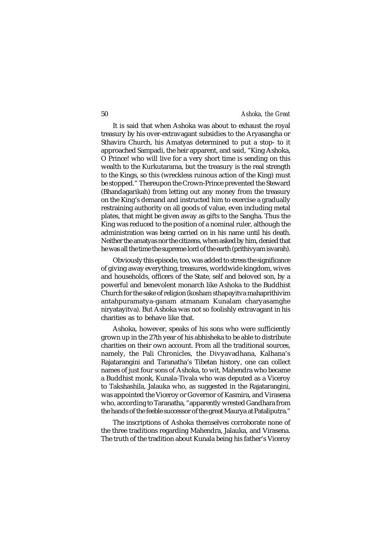It is said that when Ashoka was about to exhaust the royal treasury by his over-extravagant subsidies to the Aryasangha or Sthavira Church, his Amatyas determined to put a stop- to it approached Sampadi, the heir apparent, and said, "King Ashoka, O Prince! who will live for a very short time is sending on this wealth to the Kurkutarama, but the treasury is the real strength to the Kings, so this (wreckless ruinous action of the King) must be stopped." Thereupon the Crown-Prince prevented the Steward (Bhandagarikah) from letting out any money from the treasury on the King's demand and instructed him to exercise a gradually restraining authority on all goods of value, even including metal plates, that might be given away as gifts to the Sangha. Thus the King was reduced to the position of a nominal ruler, although the administration was being carried on in his name until his death. Neither the amatyas nor the citizens, when asked by him, denied that he was all the time the supreme lord of the earth (prithivyam isvarah).

Obviously this episode, too, was added to stress the significance of giving away everything, treasures, worldwide kingdom, wives and households, officers of the State, self and beloved son, by a powerful and benevolent monarch like Ashoka to the Buddhist Church for the sake of religion (kosham sthapayitva mahaprithivim antahpuramatya-ganam atmanam Kunalam charyasamghe niryatayitva). But Ashoka was not so foolishly extravagant in his charities as to behave like that.

Ashoka, however, speaks of his sons who were sufficiently grown up in the 27th year of his abhisheka to be able to distribute charities on their own account. From all the traditional sources, namely, the Pali Chronicles, the Divyavadhana, Kalhana's Rajatarangini and Taranatha's Tibetan history, one can collect names of just four sons of Ashoka, to wit, Mahendra who became a Buddhist monk, Kunala-Tivala who was deputed as a Viceroy to Takshashila, Jalauka who, as suggested in the Rajatarangini, was appointed the Viceroy or Governor of Kasmira, and Virasena who, according to Taranatha, "apparently wrested Gandhara from the hands of the feeble successor of the great Maurya at Pataliputra."

The inscriptions of Ashoka themselves corroborate none of the three traditions regarding Mahendra, Jalauka, and Virasena. The truth of the tradition about Kunala being his father's Viceroy